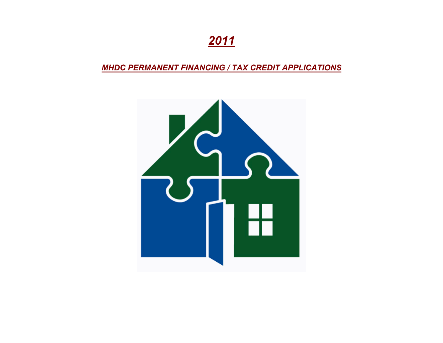*2011*

*MHDC PERMANENT FINANCING / TAX CREDIT APPLICATIONS*

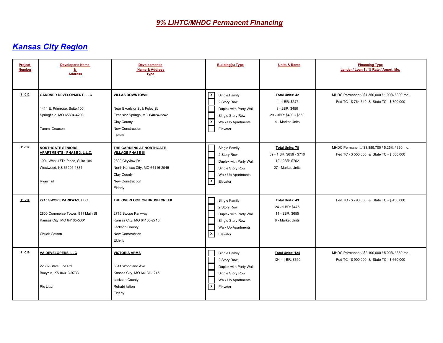| Project<br><b>Number</b> | <b>Developer's Name</b><br>&<br><b>Address</b>                                                                                      | <b>Development's</b><br>Name & Address<br><b>Type</b>                                                                                                      | <b>Building(s) Type</b>                                                                                                                   | <b>Units &amp; Rents</b>                                                                                   | <b>Financing Type</b><br>Lender / Loan \$ / % Rate / Amort. Mo.                             |
|--------------------------|-------------------------------------------------------------------------------------------------------------------------------------|------------------------------------------------------------------------------------------------------------------------------------------------------------|-------------------------------------------------------------------------------------------------------------------------------------------|------------------------------------------------------------------------------------------------------------|---------------------------------------------------------------------------------------------|
| 11-012                   | <b>GARDNER DEVELOPMENT, LLC</b><br>1414 E. Primrose, Suite 100<br>Springfield, MO 65804-4290<br>Tammi Creason                       | <b>VILLAS DOWNTOWN</b><br>Near Excelsior St & Foley St<br>Excelsior Springs, MO 64024-2242<br>Clay County<br>New Construction<br>Family                    | $\boxed{\mathsf{x}}$<br>Single Family<br>2 Story Row<br>Duplex with Party Wall<br>Single Story Row<br>区<br>Walk Up Apartments<br>Elevator | <b>Total Units: 42</b><br>1 - 1 BR: \$375<br>8 - 2BR: \$450<br>29 - 3BR: \$490 - \$550<br>4 - Market Units | MHDC Permanent / \$1,350,000 / 1.00% / 300 mo.<br>Fed TC - \$764,340 & State TC - \$700,000 |
| 11-017                   | <u>NORTHGATE SENIORS</u><br>APARTMENTS - PHASE 3, L.L.C.<br>1901 West 47Th Place, Suite 104<br>Westwood, KS 66205-1834<br>Ryan Tull | THE GARDENS AT NORTHGATE<br><b>VILLAGE PHASE III</b><br>2800 Cityview Dr<br>North Kansas City, MO 64116-2945<br>Clay County<br>New Construction<br>Elderly | Single Family<br>2 Story Row<br>Duplex with Party Wall<br>Single Story Row<br>Walk Up Apartments<br>$\boxed{x}$<br>Elevator               | <b>Total Units: 78</b><br>39 - 1 BR: \$659 - \$710<br>12 - 2BR: \$762<br>27 - Market Units                 | MHDC Permanent / \$3,889,700 / 5.25% / 360 mo.<br>Fed TC - \$550,000 & State TC - \$500,000 |
| 11-018                   | 2715 SWOPE PARKWAY, LLC<br>2800 Commerce Tower, 911 Main St<br>Kansas City, MO 64105-5301<br>Chuck Gatson                           | THE OVERLOOK ON BRUSH CREEK<br>2715 Swope Parkway<br>Kansas City, MO 64130-2710<br>Jackson County<br><b>New Construction</b><br>Elderly                    | Single Family<br>2 Story Row<br>Duplex with Party Wall<br>Single Story Row<br>Walk Up Apartments<br>$\sqrt{x}$<br>Elevator                | <b>Total Units: 43</b><br>24 - 1 BR: \$475<br>11 - 2BR: \$655<br>8 - Market Units                          | Fed TC - \$790,000 & State TC - \$430,000                                                   |
| 11-019                   | VA DEVELOPERS, LLC<br>22602 State Line Rd<br>Bucyrus, KS 06013-9733<br>Ric Litton                                                   | <b>VICTORIA ARMS</b><br>6311 Woodland Ave<br>Kansas City, MO 64131-1245<br>Jackson County<br>Rehabilitation<br>Elderly                                     | Single Family<br>2 Story Row<br>Duplex with Party Wall<br>Single Story Row<br>Walk Up Apartments<br>$\overline{x}$<br>Elevator            | <b>Total Units: 124</b><br>124 - 1 BR: \$610                                                               | MHDC Permanent / \$2,100,000 / 5.00% / 360 mo.<br>Fed TC - \$900,000 & State TC - \$660,000 |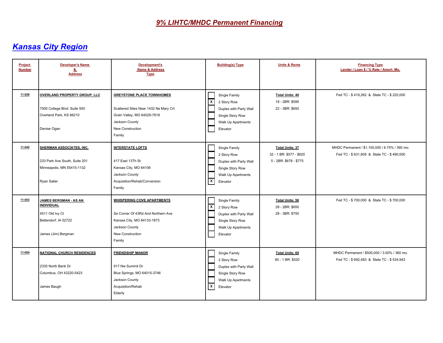| Project<br><b>Number</b> | <b>Developer's Name</b><br>8.<br><b>Address</b>                                                               | Development's<br><b>Name &amp; Address</b><br><b>Type</b>                                                                                                | <b>Building(s) Type</b>                                                                                                                 | <b>Units &amp; Rents</b>                                                     | <b>Financing Type</b><br>Lender / Loan \$ / % Rate / Amort. Mo.                             |
|--------------------------|---------------------------------------------------------------------------------------------------------------|----------------------------------------------------------------------------------------------------------------------------------------------------------|-----------------------------------------------------------------------------------------------------------------------------------------|------------------------------------------------------------------------------|---------------------------------------------------------------------------------------------|
| 11-028                   | OVERLAND PROPERTY GROUP, LLC<br>7500 College Blvd. Suite 500<br>Overland Park, KS 66210<br>Denise Ogan        | <b>GREYSTONE PLACE TOWNHOMES</b><br>Scattered Sites Near 1432 Ne Mary Crt<br>Grain Valley, MO 64029-7818<br>Jackson County<br>New Construction<br>Family | Single Family<br>$\overline{\mathbf{x}}$<br>2 Story Row<br>Duplex with Party Wall<br>Single Story Row<br>Walk Up Apartments<br>Elevator | <b>Total Units: 40</b><br>18 - 2BR: \$595<br>22 - 3BR: \$650                 | Fed TC - \$419,262 & State TC - \$220,000                                                   |
| $11 - 042$               | <b>SHERMAN ASSOCIATES, INC.</b><br>233 Park Ave South, Suite 201<br>Minneapolis, MN 55415-1132<br>Ryan Sailer | <u>INTERSTATE LOFTS</u><br>417 East 13Th St<br>Kansas City, MO 64106<br>Jackson County<br>Acquisition/Rehab/Conversion<br>Family                         | Single Family<br>2 Story Row<br>Duplex with Party Wall<br>Single Story Row<br>Walk Up Apartments<br>$\mathbf{x}$<br>Elevator            | <b>Total Units: 37</b><br>32 - 1 BR: \$577 - \$620<br>5 - 2BR: \$678 - \$775 | MHDC Permanent / \$1,150,000 / 6.75% / 360 mo.<br>Fed TC - \$631,809 & State TC - \$490,000 |
| 11-053                   | JAMES BERGMAN - AS AN<br><b>INDIVIDUAL</b><br>4511 Old Ivy Ct<br>Bettendorf, IA 52722<br>James (Jim) Bergman  | <b>WHISPERING COVE APARTMENTS</b><br>Se Corner Of 43Rd And Northern Ave<br>Kansas City, MO 64133-1873<br>Jackson County<br>New Construction<br>Family    | Single Family<br>$\overline{\mathbf{x}}$<br>2 Story Row<br>Duplex with Party Wall<br>Single Story Row<br>Walk Up Apartments<br>Elevator | <b>Total Units: 56</b><br>28 - 2BR: \$650<br>28 - 3BR: \$750                 | Fed TC - \$700,000 & State TC - \$700,000                                                   |
| 11-054                   | <b>NATIONAL CHURCH RESIDENCES</b><br>2335 North Bank Dr<br>Columbus, OH 43220-5423<br>James Baugh             | <b>FRIENDSHIP MANOR</b><br>917 Nw Summit Dr<br>Blue Springs, MO 64015-3746<br>Jackson County<br>Acquisition/Rehab<br>Elderly                             | Single Family<br>2 Story Row<br>Duplex with Party Wall<br>Single Story Row<br>Walk Up Apartments<br>$\overline{\mathbf{x}}$<br>Elevator | <b>Total Units: 60</b><br>60 - 1 BR: \$520                                   | MHDC Permanent / \$500,000 / 3.00% / 360 mo.<br>Fed TC - \$692,483 & State TC - \$534,943   |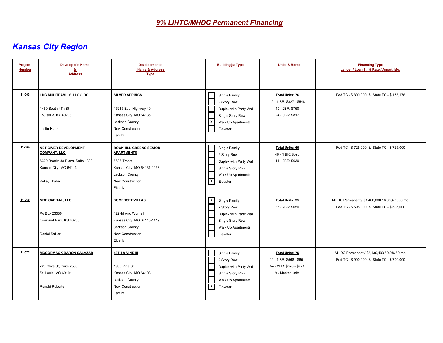| Project<br><b>Number</b> | <b>Developer's Name</b><br>8.<br><b>Address</b>                                                                                         | Development's<br><b>Name &amp; Address</b><br><b>Type</b>                                                                                        | <b>Building(s) Type</b>                                                                                                                   | <b>Units &amp; Rents</b>                                                                          | <b>Financing Type</b><br>Lender / Loan \$ / % Rate / Amort. Mo.                             |
|--------------------------|-----------------------------------------------------------------------------------------------------------------------------------------|--------------------------------------------------------------------------------------------------------------------------------------------------|-------------------------------------------------------------------------------------------------------------------------------------------|---------------------------------------------------------------------------------------------------|---------------------------------------------------------------------------------------------|
| 11-063                   | LDG MULITFAMILY, LLC (LDG)<br>1469 South 4Th St<br>Louisville, KY 40208<br>Justin Hartz                                                 | <b>SILVER SPRINGS</b><br>15215 East Highway 40<br>Kansas City, MO 64136<br>Jackson County<br>New Construction<br>Family                          | Single Family<br>2 Story Row<br>Duplex with Party Wall<br>Single Story Row<br>$\boldsymbol{\mathsf{x}}$<br>Walk Up Apartments<br>Elevator | <b>Total Units: 76</b><br>12 - 1 BR: \$327 - \$548<br>40 - 2BR: \$750<br>24 - 3BR: \$817          | Fed TC - \$800,000 & State TC - \$175,178                                                   |
| 11-064                   | <b>NET GIVER DEVELOPMENT</b><br><b>COMPANY, LLC</b><br>6320 Brookside Plaza, Suite 1300<br>Kansas City, MO 64113<br><b>Kelley Hrabe</b> | <b>ROCKHILL GREENS SENIOR</b><br><b>APARTMENTS</b><br>6606 Troost<br>Kansas City, MO 64131-1233<br>Jackson County<br>New Construction<br>Elderly | Single Family<br>2 Story Row<br>Duplex with Party Wall<br>Single Story Row<br>Walk Up Apartments<br>$\overline{\mathbf{x}}$<br>Elevator   | <b>Total Units: 60</b><br>46 - 1 BR: \$595<br>14 - 2BR: \$630                                     | Fed TC - \$725,000 & State TC - \$725,000                                                   |
| 11-068                   | <b>MRE CAPITAL, LLC</b><br>Po Box 23586<br>Overland Park, KS 66283<br><b>Daniel Sailler</b>                                             | <b>SOMERSET VILLAS</b><br>122Nd And Wornell<br>Kansas City, MO 64145-1119<br>Jackson County<br>New Construction<br>Elderly                       | $\overline{\mathbf{x}}$<br>Single Family<br>2 Story Row<br>Duplex with Party Wall<br>Single Story Row<br>Walk Up Apartments<br>Elevator   | <b>Total Units: 35</b><br>35 - 2BR: \$650                                                         | MHDC Permanent / \$1,400,000 / 6.00% / 360 mo.<br>Fed TC - \$595,000 & State TC - \$595,000 |
| 11-072                   | <b>MCCORMACK BARON SALAZAR</b><br>720 Olive St, Suite 2500<br>St. Louis, MO 63101<br>Ronald Roberts                                     | 18TH & VINE III<br>1900 Vine St<br>Kansas City, MO 64108<br>Jackson County<br>New Construction<br>Family                                         | Single Family<br>2 Story Row<br>Duplex with Party Wall<br>Single Story Row<br>Walk Up Apartments<br>$\overline{\mathbf{x}}$<br>Elevator   | <b>Total Units: 75</b><br>12 - 1 BR: \$568 - \$651<br>54 - 2BR: \$670 - \$771<br>9 - Market Units | MHDC Permanent / \$2,139,493 / 0.0% / 0 mo.<br>Fed TC - \$900,000 & State TC - \$700,000    |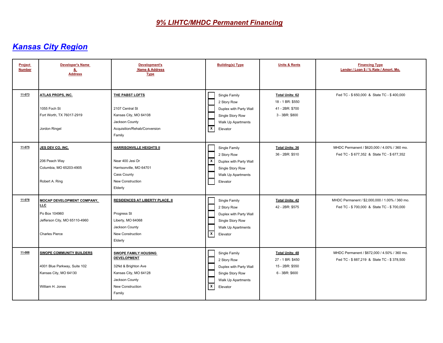| Project<br><b>Number</b> | <b>Developer's Name</b><br>8.<br><b>Address</b>                                                               | Development's<br><b>Name &amp; Address</b><br><b>Type</b>                                                                                         | <b>Building(s) Type</b>                                                                                                                 | <b>Units &amp; Rents</b>                                                        | <b>Financing Type</b><br>Lender / Loan \$ / % Rate / Amort. Mo.                             |
|--------------------------|---------------------------------------------------------------------------------------------------------------|---------------------------------------------------------------------------------------------------------------------------------------------------|-----------------------------------------------------------------------------------------------------------------------------------------|---------------------------------------------------------------------------------|---------------------------------------------------------------------------------------------|
| 11-073                   | ATLAS PROPS, INC.<br>1055 Foch St<br>Fort Worth, TX 76017-2919<br>Jordon Ringel                               | THE PABST LOFTS<br>2107 Central St<br>Kansas City, MO 64108<br>Jackson County<br>Acquisition/Rehab/Conversion<br>Family                           | Single Family<br>2 Story Row<br>Duplex with Party Wall<br>Single Story Row<br>Walk Up Apartments<br>$\overline{\mathbf{x}}$<br>Elevator | <b>Total Units: 62</b><br>18 - 1 BR: \$550<br>41 - 2BR: \$700<br>3 - 3BR: \$800 | Fed TC - \$650,000 & State TC - \$400,000                                                   |
| 11-075                   | JES DEV CO, INC.<br>206 Peach Way<br>Columbia, MO 65203-4905<br>Robert A. Ring                                | <b>HARRISONVILLE HEIGHTS II</b><br>Near 400 Jesi Dr<br>Harrisonville, MO 64701<br>Cass County<br>New Construction<br>Elderly                      | Single Family<br>2 Story Row<br>$\mathbf{x}$<br>Duplex with Party Wall<br>Single Story Row<br>Walk Up Apartments<br>Elevator            | <b>Total Units: 36</b><br>36 - 2BR: \$510                                       | MHDC Permanent / \$620,000 / 4.00% / 360 mo.<br>Fed TC - \$677,352 & State TC - \$677,352   |
| 11-078                   | MOCAP DEVELOPMENT COMPANY,<br>LLC.<br>Po Box 104960<br>Jefferson City, MO 65110-4960<br><b>Charles Pierce</b> | <b>RESIDENCES AT LIBERTY PLACE, II</b><br>Progress St<br>Liberty, MO 64068<br>Jackson County<br>New Construction<br>Elderly                       | Single Family<br>2 Story Row<br>Duplex with Party Wall<br>Single Story Row<br>Walk Up Apartments<br>$\overline{\mathbf{x}}$<br>Elevator | <b>Total Units: 42</b><br>42 - 2BR: \$575                                       | MHDC Permanent / \$2,000,000 / 1.00% / 360 mo.<br>Fed TC - \$700,000 & State TC - \$700,000 |
| 11-088                   | <b>SWOPE COMMUNITY BUILDERS</b><br>4001 Blue Parkway, Suite 102<br>Kansas City, MO 64130<br>William H. Jones  | <b>SWOPE FAMILY HOUSING</b><br><b>DEVELOPMENT</b><br>32Nd & Brighton Ave<br>Kansas City, MO 64128<br>Jackson County<br>New Construction<br>Family | Single Family<br>2 Story Row<br>Duplex with Party Wall<br>Single Story Row<br>Walk Up Apartments<br>$\pmb{\mathsf{x}}$<br>Elevator      | <b>Total Units: 48</b><br>27 - 1 BR: \$450<br>15 - 2BR: \$550<br>6 - 3BR: \$600 | MHDC Permanent / \$672,000 / 4.50% / 360 mo.<br>Fed TC - \$887,219 & State TC - \$378,500   |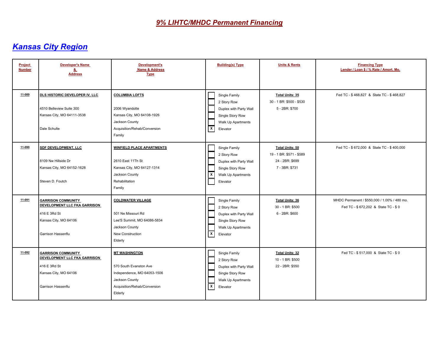| <b>Project</b><br><b>Number</b> | <b>Developer's Name</b><br>&<br><b>Address</b>                                                                           | <b>Development's</b><br><b>Name &amp; Address</b><br><b>Type</b>                                                                           | <b>Building(s) Type</b>                                                                                                                   | <b>Units &amp; Rents</b>                                                                | <b>Financing Type</b><br>Lender / Loan \$ / % Rate / Amort. Mo.                     |
|---------------------------------|--------------------------------------------------------------------------------------------------------------------------|--------------------------------------------------------------------------------------------------------------------------------------------|-------------------------------------------------------------------------------------------------------------------------------------------|-----------------------------------------------------------------------------------------|-------------------------------------------------------------------------------------|
| 11-089                          | DLS HISTORIC DEVELOPER IV, LLC<br>4510 Belleview Suite 300<br>Kansas City, MO 64111-3538<br>Dale Schulte                 | <b>COLUMBIA LOFTS</b><br>2006 Wyandotte<br>Kansas City, MO 64108-1926<br>Jackson County<br>Acquisition/Rehab/Conversion<br>Family          | Single Family<br>2 Story Row<br>Duplex with Party Wall<br>Single Story Row<br>Walk Up Apartments<br>$\overline{\mathbf{x}}$<br>Elevator   | <b>Total Units: 35</b><br>30 - 1 BR: \$500 - \$530<br>5 - 2BR: \$700                    | Fed TC - \$468,827 & State TC - \$468,827                                           |
| 11-090                          | <b>SDF DEVELOPMENT, LLC</b><br>8109 Nw Hillside Dr<br>Kansas City, MO 64152-1628<br>Steven D. Foutch                     | <b>WINFIELD PLACE APARTMENTS</b><br>2610 East 11Th St<br>Kansas City, MO 64127-1314<br>Jackson County<br>Rehabilitation<br>Family          | Single Family<br>2 Story Row<br>Duplex with Party Wall<br>Single Story Row<br>$\boldsymbol{\mathsf{x}}$<br>Walk Up Apartments<br>Elevator | <b>Total Units: 50</b><br>19 - 1 BR: \$571 - \$589<br>24 - 2BR: \$699<br>7 - 3BR: \$731 | Fed TC - \$672,000 & State TC - \$400,000                                           |
| 11-091                          | <b>GARRISON COMMUNITY</b><br>DEVELOPMENT LLC FKA GARRISON<br>416 E 3Rd St<br>Kansas City, MO 64106<br>Garrison Hassenflu | <b>COLDWATER VILLAGE</b><br>501 Ne Missouri Rd<br>Lee'S Summit, MO 64086-5834<br>Jackson County<br>New Construction<br>Elderly             | Single Family<br>2 Story Row<br>Duplex with Party Wall<br>Single Story Row<br>Walk Up Apartments<br>$\overline{\mathbf{x}}$<br>Elevator   | <b>Total Units: 36</b><br>30 - 1 BR: \$500<br>6 - 2BR: \$600                            | MHDC Permanent / \$550,000 / 1.00% / 480 mo.<br>Fed TC - \$672,202 & State TC - \$0 |
| 11-092                          | <b>GARRISON COMMUNITY</b><br>DEVELOPMENT LLC FKA GARRISON<br>416 E 3Rd St<br>Kansas City, MO 64106<br>Garrison Hassenflu | <b>MT WASHINGTON</b><br>570 South Evanston Ave<br>Independence, MO 64053-1506<br>Jackson County<br>Acquisition/Rehab/Conversion<br>Elderly | Single Family<br>2 Story Row<br>Duplex with Party Wall<br>Single Story Row<br>Walk Up Apartments<br>$\pmb{\mathsf{x}}$<br>Elevator        | <b>Total Units: 32</b><br>10 - 1 BR: \$500<br>22 - 2BR: \$550                           | Fed TC - \$517,000 & State TC - \$0                                                 |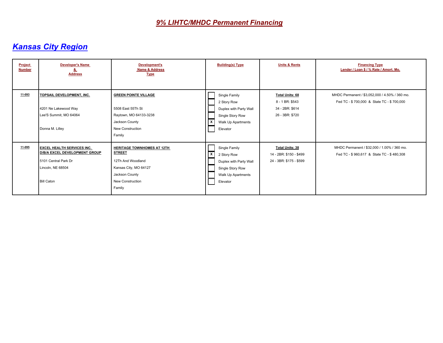| <b>Project</b><br><b>Number</b> | <b>Developer's Name</b><br><b>Address</b>                                                                                            | Development's<br>Name & Address<br><b>Type</b>                                                                                                   | <b>Building(s) Type</b>                                                                                             | <b>Units &amp; Rents</b>                                                        | <b>Financing Type</b><br>Lender / Loan \$ / % Rate / Amort. Mo.                             |
|---------------------------------|--------------------------------------------------------------------------------------------------------------------------------------|--------------------------------------------------------------------------------------------------------------------------------------------------|---------------------------------------------------------------------------------------------------------------------|---------------------------------------------------------------------------------|---------------------------------------------------------------------------------------------|
| 11-093                          | TOPSAIL DEVELOPMENT, INC.<br>4201 Ne Lakewood Way<br>Lee'S Summit, MO 64064                                                          | <b>GREEN POINTE VILLAGE</b><br>5508 East 55Th St<br>Raytown, MO 64133-3238<br>Jackson County                                                     | Single Family<br>2 Story Row<br>Duplex with Party Wall<br>Single Story Row<br>l X<br>Walk Up Apartments             | <b>Total Units: 68</b><br>8 - 1 BR: \$543<br>34 - 2BR: \$614<br>26 - 3BR: \$720 | MHDC Permanent / \$3,052,000 / 4.50% / 360 mo.<br>Fed TC - \$700,000 & State TC - \$700,000 |
|                                 | Donna M. Lilley                                                                                                                      | <b>New Construction</b><br>Family                                                                                                                | Elevator                                                                                                            |                                                                                 |                                                                                             |
| 11-095                          | <u>EXCEL HEALTH SERVICES INC.</u><br>D/B/A EXCEL DEVELOPMENT GROUP<br>5101 Central Park Dr<br>Lincoln, NE 68504<br><b>Bill Caton</b> | <b>HERITAGE TOWNHOMES AT 12TH</b><br><b>STREET</b><br>12Th And Woodland<br>Kansas City, MO 64127<br>Jackson County<br>New Construction<br>Family | Single Family<br>  X<br>2 Story Row<br>Duplex with Party Wall<br>Single Story Row<br>Walk Up Apartments<br>Elevator | <b>Total Units: 38</b><br>14 - 2BR: \$150 - \$499<br>24 - 3BR: \$175 - \$599    | MHDC Permanent / \$32,000 / 1.00% / 360 mo.<br>Fed TC - \$960,617 & State TC - \$480,308    |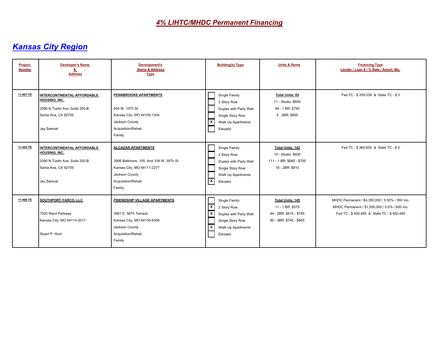| Project<br><b>Number</b> | <b>Developer's Name</b><br><u>&amp;</u><br><b>Address</b>                                                           | <b>Development's</b><br><b>Name &amp; Address</b><br><b>Type</b>                                                                                   | <b>Building(s) Type</b>                                                                                                                                | <b>Units &amp; Rents</b>                                                                          | <b>Financing Type</b><br>Lender / Loan \$ / % Rate / Amort. Mo.                                                                              |
|--------------------------|---------------------------------------------------------------------------------------------------------------------|----------------------------------------------------------------------------------------------------------------------------------------------------|--------------------------------------------------------------------------------------------------------------------------------------------------------|---------------------------------------------------------------------------------------------------|----------------------------------------------------------------------------------------------------------------------------------------------|
| 11-401-TE                | INTERCONTINENTAL AFFORDABLE<br>HOUSING, INC.<br>2090 N Tustin Ave, Suite 250-B<br>Santa Ana, CA 92705<br>Jey Samuel | PENNBROOKE APARTMENTS<br>604 W. 10Th St<br>Kansas City, MO 64105-1304<br>Jackson County<br>Acquisition/Rehab<br>Family                             | Single Family<br>2 Story Row<br>Duplex with Party Wall<br>Single Story Row<br>  x<br>Walk Up Apartments<br>Elevator                                    | <b>Total Units: 65</b><br>11 - Studio: \$600<br>49 - 1 BR: \$750<br>5 - 2BR: \$850                | Fed TC - \$ 209,038 & State TC - \$ 0                                                                                                        |
| 11-402-TE                | INTERCONTINENTAL AFFORDABLE<br>HOUSING, INC.<br>2090 N Tustin Ave. Suite 250-B<br>Santa Ana, CA 92705<br>Jey Samuel | <b>ALCAZAR APARTMENTS</b><br>3906 Baltimore, 105 And 109 W, 39Th St<br>Kansas City, MO 64111-2277<br>Jackson County<br>Acquisition/Rehab<br>Family | Single Family<br>2 Story Row<br>Duplex with Party Wall<br>Single Story Row<br>Walk Up Apartments<br>$\mathbf{x}$<br>Elevator                           | <b>Total Units: 142</b><br>15 - Studio: \$600<br>111 - 1 BR: \$680 - \$700<br>16 - 2BR: \$810     | Fed TC - \$360,655 & State TC - \$0                                                                                                          |
| 11-406-TE                | SOUTHPORT-YARCO, LLC<br>7920 Ward Parkway<br>Kansas City, MO 64114-2017<br>Stuart P. Hunt                           | FRIENDSHIP VILLAGE APARTMENTS<br>3901 E. 56Th Terrace<br>Kansas City, MO 64130-4308<br>Jackson County<br>Acquisition/Rehab<br>Family               | Single Family<br>Γx<br>2 Story Row<br>$\boldsymbol{\mathsf{x}}$<br>Duplex with Party Wall<br>Single Story Row<br>  x<br>Walk Up Apartments<br>Elevator | <b>Total Units: 145</b><br>11 - 1 BR: \$575<br>44 - 2BR: \$615 - \$795<br>90 - 3BR: \$745 - \$865 | MHDC Permanent / \$4,350,000 / 5.50% / 360 mo.<br>MHDC Permanent / \$1,500,000 / 0.0% / 600 mo.<br>Fed TC - \$450,485 & State TC - \$450,485 |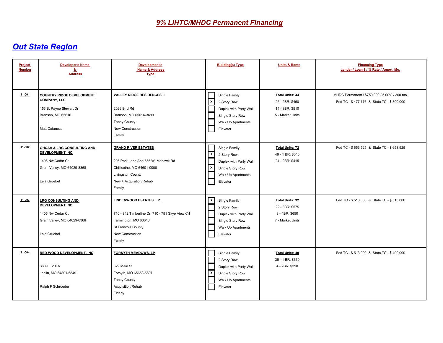| <b>Project</b><br><b>Number</b> | <b>Developer's Name</b><br>&<br><b>Address</b>                                                                               | Development's<br><b>Name &amp; Address</b><br><b>Type</b>                                                                                                             | <b>Building(s) Type</b>                                                                                                        | <b>Units &amp; Rents</b>                                                         | <b>Financing Type</b><br>Lender / Loan \$ / % Rate / Amort. Mo.                           |
|---------------------------------|------------------------------------------------------------------------------------------------------------------------------|-----------------------------------------------------------------------------------------------------------------------------------------------------------------------|--------------------------------------------------------------------------------------------------------------------------------|----------------------------------------------------------------------------------|-------------------------------------------------------------------------------------------|
| 11-001                          | COUNTRY RIDGE DEVELOPMENT<br><b>COMPANY, LLC</b><br>153 S. Payne Stewart Dr<br>Branson, MO 65616<br>Matt Catanese            | <b>VALLEY RIDGE RESIDENCES III</b><br>2026 Bird Rd<br>Branson, MO 65616-3699<br><b>Taney County</b><br>New Construction<br>Family                                     | Single Family<br>⊺×<br>2 Story Row<br>Duplex with Party Wall<br>Single Story Row<br>Walk Up Apartments<br>Elevator             | <b>Total Units: 44</b><br>25 - 2BR: \$460<br>14 - 3BR: \$510<br>5 - Market Units | MHDC Permanent / \$750,000 / 5.00% / 360 mo.<br>Fed TC - \$477,776 & State TC - \$300,000 |
| 11-002                          | <b>GHCAA &amp; LRG CONSULTING AND</b><br>DEVELOPMENT INC.<br>1405 Nw Cedar Ct<br>Grain Valley, MO 64029-8368<br>Lela Gruebel | <b>GRAND RIVER ESTATES</b><br>205 Park Lane And 555 W. Mohawk Rd<br>Chillicothe, MO 64601-0000<br>Livingston County<br>New + Acquisition/Rehab<br>Family              | Single Family<br>⊺x<br>2 Story Row<br>Duplex with Party Wall<br>⊺⊼<br>Single Story Row<br>Walk Up Apartments<br>Elevator       | <b>Total Units: 72</b><br>48 - 1 BR: \$340<br>24 - 2BR: \$415                    | Fed TC - \$653,525 & State TC - \$653,525                                                 |
| 11-003                          | <b>LRG CONSULTING AND</b><br>DEVELOPMENT INC.<br>1405 Nw Cedar Ct<br>Grain Valley, MO 64029-6368<br>Lela Gruebel             | <b>LINDENWOOD ESTATES L.P.</b><br>710 - 942 Timberline Dr, 710 - 751 Skye View Crt<br>Farmington, MO 63640<br>St Francois County<br><b>New Construction</b><br>Family | $\overline{x}$<br>Single Family<br>2 Story Row<br>Duplex with Party Wall<br>Single Story Row<br>Walk Up Apartments<br>Elevator | <b>Total Units: 32</b><br>22 - 3BR: \$575<br>3 - 4BR: \$650<br>7 - Market Units  | Fed TC - \$513,000 & State TC - \$513,000                                                 |
| 11-004                          | RED-WOOD DEVELOPMENT, INC<br>3609 E 20Th<br>Joplin, MO 64801-5849<br>Ralph F Schroeder                                       | <b>FORSYTH MEADOWS, LP</b><br>329 Main St<br>Forsyth, MO 65653-5607<br><b>Taney County</b><br>Acquisition/Rehab<br>Elderly                                            | Single Family<br>2 Story Row<br>Duplex with Party Wall<br>$\overline{x}$<br>Single Story Row<br>Walk Up Apartments<br>Elevator | <b>Total Units: 40</b><br>36 - 1 BR: \$360<br>4 - 2BR: \$390                     | Fed TC - \$513,000 & State TC - \$490,000                                                 |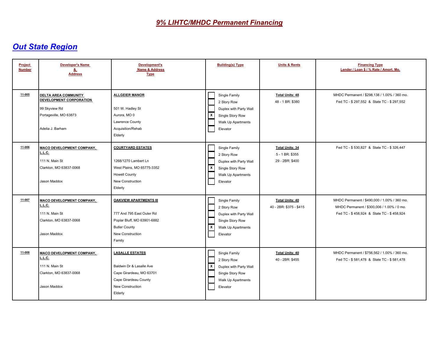| <b>Project</b><br><b>Number</b> | <b>Developer's Name</b><br>&<br><b>Address</b>                                                                        | Development's<br>Name & Address<br><b>Type</b>                                                                                                  | <b>Building(s) Type</b>                                                                                                                   | <b>Units &amp; Rents</b>                                     | <b>Financing Type</b><br>Lender / Loan \$ / % Rate / Amort. Mo.                                                                         |
|---------------------------------|-----------------------------------------------------------------------------------------------------------------------|-------------------------------------------------------------------------------------------------------------------------------------------------|-------------------------------------------------------------------------------------------------------------------------------------------|--------------------------------------------------------------|-----------------------------------------------------------------------------------------------------------------------------------------|
| $11 - 005$                      | <b>DELTA AREA COMMUNITY</b><br>DEVELOPMENT CORPORATION<br>99 Skyview Rd<br>Portageville, MO 63873<br>Adelia J. Barham | <b>ALLGEIER MANOR</b><br>501 W. Hadley St<br>Aurora, MO 0<br>Lawrence County<br>Acquisition/Rehab<br>Elderly                                    | Single Family<br>2 Story Row<br>Duplex with Party Wall<br>X<br>Single Story Row<br>Walk Up Apartments<br>Elevator                         | <b>Total Units: 48</b><br>48 - 1 BR: \$380                   | MHDC Permanent / \$298,138 / 1.00% / 360 mo.<br>Fed TC - \$ 297,552 & State TC - \$ 297,552                                             |
| 11-006                          | MACO DEVELOPMENT COMPANY,<br>L.L.C.<br>111 N. Main St<br>Clarkton, MO 63837-0068<br>Jason Maddox                      | <b>COURTYARD ESTATES</b><br>1268/1270 Lambert Ln<br>West Plains, MO 65775-3352<br><b>Howell County</b><br>New Construction<br>Elderly           | Single Family<br>2 Story Row<br>Duplex with Party Wall<br>$\boldsymbol{\mathsf{x}}$<br>Single Story Row<br>Walk Up Apartments<br>Elevator | <b>Total Units: 34</b><br>5 - 1 BR: \$355<br>29 - 2BR: \$400 | Fed TC - \$530,827 & State TC - \$326,447                                                                                               |
| 11-007                          | <b>MACO DEVELOPMENT COMPANY,</b><br>L.L.C.<br>111 N. Main St<br>Clarkton, MO 63837-0068<br>Jason Maddox               | <b>OAKVIEW APARTMENTS III</b><br>777 And 795 East Outer Rd<br>Poplar Bluff, MO 63901-6882<br><b>Butler County</b><br>New Construction<br>Family | Single Family<br>2 Story Row<br>Duplex with Party Wall<br>Single Story Row<br>$\boldsymbol{\mathsf{x}}$<br>Walk Up Apartments<br>Elevator | <b>Total Units: 40</b><br>40 - 2BR: \$375 - \$415            | MHDC Permanent / \$490,000 / 1.00% / 360 mo.<br>MHDC Permanent / \$300,006 / 1.00% / 0 mo.<br>Fed TC - \$458,924 & State TC - \$458,924 |
| 11-008                          | <b>MACO DEVELOPMENT COMPANY,</b><br>L.L.C.<br>111 N. Main St<br>Clarkton, MO 63837-0068<br>Jason Maddox               | <b>LASALLE ESTATES</b><br>Baldwin Dr & Lasalle Ave<br>Cape Girardeau, MO 63701<br>Cape Girardeau County<br>New Construction<br>Elderly          | Single Family<br>2 Story Row<br>$\mathbf x$<br>Duplex with Party Wall<br>Single Story Row<br>Walk Up Apartments<br>Elevator               | <b>Total Units: 40</b><br>40 - 2BR: \$455                    | MHDC Permanent / \$756,562 / 1.00% / 360 mo.<br>Fed TC - \$581,478 & State TC - \$581,478                                               |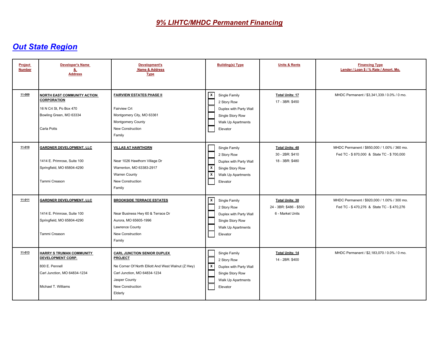| <b>Project</b><br><b>Number</b> | <b>Developer's Name</b><br>&<br><b>Address</b>                                                                                | Development's<br><b>Name &amp; Address</b><br><b>Type</b>                                                                                                                                  | <b>Building(s) Type</b>                                                                                                              | <b>Units &amp; Rents</b>                                              | <b>Financing Type</b><br>Lender / Loan \$ / % Rate / Amort. Mo.                           |
|---------------------------------|-------------------------------------------------------------------------------------------------------------------------------|--------------------------------------------------------------------------------------------------------------------------------------------------------------------------------------------|--------------------------------------------------------------------------------------------------------------------------------------|-----------------------------------------------------------------------|-------------------------------------------------------------------------------------------|
| 11-009                          | NORTH EAST COMMUNITY ACTION<br><b>CORPORATION</b><br>16 N Crt St, Po Box 470<br>Bowling Green, MO 63334<br>Carla Potts        | <b>FAIRVIEW ESTATES PHASE II</b><br>Fairview Crt<br>Montgomery City, MO 63361<br>Montgomery County<br>New Construction<br>Family                                                           | $\sqrt{x}$<br>Single Family<br>2 Story Row<br>Duplex with Party Wall<br>Single Story Row<br>Walk Up Apartments<br>Elevator           | <b>Total Units: 17</b><br>17 - 3BR: \$450                             | MHDC Permanent / \$3.341.339 / 0.0% / 0 mo.                                               |
| 11-010                          | <b>GARDNER DEVELOPMENT, LLC</b><br>1414 E. Primrose, Suite 100<br>Springfield, MO 65804-4290<br>Tammi Creason                 | <b>VILLAS AT HAWTHORN</b><br>Near 1026 Hawthorn Village Dr<br>Warrenton, MO 63383-2917<br><b>Warren County</b><br>New Construction<br>Family                                               | Single Family<br>2 Story Row<br>Duplex with Party Wall<br>Γx<br>Single Story Row<br>⊺⊼<br>Walk Up Apartments<br>Elevator             | <b>Total Units: 48</b><br>30 - 2BR: \$410<br>18 - 3BR: \$480          | MHDC Permanent / \$850,000 / 1.00% / 360 mo.<br>Fed TC - \$870,000 & State TC - \$700,000 |
| 11-011                          | <b>GARDNER DEVELOPMENT, LLC</b><br>1414 E. Primrose, Suite 100<br>Springfield, MO 65804-4290<br>Tammi Creason                 | <b>BROOKSIDE TERRACE ESTATES</b><br>Near Business Hwy 60 & Terrace Dr<br>Aurora, MO 65605-1996<br>Lawrence County<br>New Construction<br>Family                                            | ⊺×<br>Single Family<br>2 Story Row<br>Duplex with Party Wall<br>Single Story Row<br>Walk Up Apartments<br>Elevator                   | <b>Total Units: 30</b><br>24 - 3BR: \$486 - \$500<br>6 - Market Units | MHDC Permanent / \$920,000 / 1.00% / 300 mo.<br>Fed TC - \$470,276 & State TC - \$470,276 |
| 11-013                          | <b>HARRY S TRUMAN COMMUNITY</b><br>DEVELOPMENT CORP.<br>800 E. Pennell<br>Carl Junction, MO 64834-1234<br>Michael T. Williams | <b>CARL JUNCTION SENIOR DUPLEX</b><br><b>PROJECT</b><br>Ne Corner Of North Elliott And West Walnut (Z Hwy)<br>Carl Junction, MO 64834-1234<br>Jasper County<br>New Construction<br>Elderly | Single Family<br>2 Story Row<br>$\boxed{\textsf{x}}$<br>Duplex with Party Wall<br>Single Story Row<br>Walk Up Apartments<br>Elevator | <b>Total Units: 14</b><br>14 - 2BR: \$400                             | MHDC Permanent / \$2,183,070 / 0.0% / 0 mo.                                               |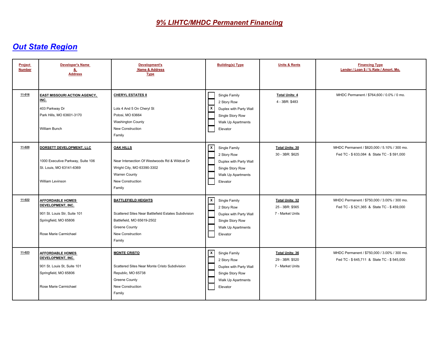| Project<br><b>Number</b> | <b>Developer's Name</b><br>&<br><b>Address</b>                                                                                 | Development's<br>Name & Address<br><b>Type</b>                                                                                                                  | <b>Building(s) Type</b>                                                                                                              | <b>Units &amp; Rents</b>                                      | <b>Financing Type</b><br>Lender / Loan \$ / % Rate / Amort. Mo.                           |
|--------------------------|--------------------------------------------------------------------------------------------------------------------------------|-----------------------------------------------------------------------------------------------------------------------------------------------------------------|--------------------------------------------------------------------------------------------------------------------------------------|---------------------------------------------------------------|-------------------------------------------------------------------------------------------|
| 11-016                   | <b>EAST MISSOURI ACTION AGENCY,</b><br>INC.<br>403 Parkway Dr<br>Park Hills, MO 63601-3170<br>William Bunch                    | <b>CHERYL ESTATES II</b><br>Lots 4 And 5 On Cheryl St<br>Potosi, MO 63664<br><b>Washington County</b><br><b>New Construction</b><br>Family                      | Single Family<br>2 Story Row<br>Γx<br>Duplex with Party Wall<br>Single Story Row<br>Walk Up Apartments<br>Elevator                   | <b>Total Units: 4</b><br>4 - 3BR: \$483                       | MHDC Permanent / \$764,600 / 0.0% / 0 mo.                                                 |
| 11-020                   | DORSETT DEVELOPMENT, LLC<br>1000 Executive Parkway, Suite 106<br>St. Louis, MO 63141-6369<br><b>William Levinson</b>           | <b>OAK HILLS</b><br>Near Intersection Of Westwoods Rd & Wildcat Dr<br>Wright City, MO 63390-3302<br>Warren County<br>New Construction<br>Family                 | $\sqrt{x}$<br>Single Family<br>2 Story Row<br>Duplex with Party Wall<br>Single Story Row<br>Walk Up Apartments<br>Elevator           | <b>Total Units: 30</b><br>30 - 3BR: \$625                     | MHDC Permanent / \$820,000 / 5.10% / 300 mo.<br>Fed TC - \$633,084 & State TC - \$591,000 |
| 11-022                   | <b>AFFORDABLE HOMES</b><br>DEVELOPMENT, INC.<br>901 St. Louis Str, Suite 101<br>Springfield, MO 65806<br>Rose Marie Carmichael | <b>BATTLEFIELD HEIGHTS</b><br>Scattered Sites Near Battlefield Estates Subdivision<br>Battlefield, MO 65619-2502<br>Greene County<br>New Construction<br>Family | $\overline{x}$<br>Single Family<br>2 Story Row<br>Duplex with Party Wall<br>Single Story Row<br>Walk Up Apartments<br>Elevator       | <b>Total Units: 32</b><br>25 - 3BR: \$565<br>7 - Market Units | MHDC Permanent / \$750,000 / 3.00% / 300 mo.<br>Fed TC - \$521,365 & State TC - \$459,000 |
| 11-023                   | <b>AFFORDABLE HOMES</b><br>DEVELOPMENT, INC.<br>901 St. Louis St. Suite 101<br>Springfield, MO 65806<br>Rose Marie Carmichael  | <b>MONTE CRISTO</b><br>Scattered Sites Near Monte Cristo Subdivision<br>Republic, MO 65738<br>Greene County<br><b>New Construction</b><br>Family                | $\boxed{\mathbf{x}}$<br>Single Family<br>2 Story Row<br>Duplex with Party Wall<br>Single Story Row<br>Walk Up Apartments<br>Elevator | <b>Total Units: 36</b><br>29 - 3BR: \$520<br>7 - Market Units | MHDC Permanent / \$750,000 / 3.00% / 300 mo.<br>Fed TC - \$645,711 & State TC - \$545,000 |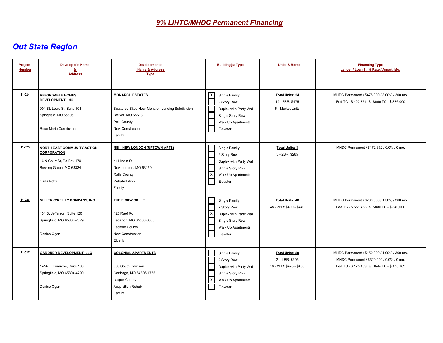| Project<br><b>Number</b> | <b>Developer's Name</b><br>&<br><b>Address</b>                                                                                  | Development's<br>Name & Address<br><b>Type</b>                                                                                               | <b>Building(s) Type</b>                                                                                                                 | <b>Units &amp; Rents</b>                                             | <b>Financing Type</b><br>Lender / Loan \$ / % Rate / Amort. Mo.                                                                        |
|--------------------------|---------------------------------------------------------------------------------------------------------------------------------|----------------------------------------------------------------------------------------------------------------------------------------------|-----------------------------------------------------------------------------------------------------------------------------------------|----------------------------------------------------------------------|----------------------------------------------------------------------------------------------------------------------------------------|
| 11-024                   | <b>AFFORDABLE HOMES</b><br>DEVELOPMENT, INC.<br>901 St. Louis St, Suite 101<br>Spingfield, MO 65806<br>Rose Marie Carmichael    | <b>MONARCH ESTATES</b><br>Scattered Sites Near Monarch Landing Subdivision<br>Bolivar, MO 65613<br>Polk County<br>New Construction<br>Family | $\overline{\mathbf{x}}$<br>Single Family<br>2 Story Row<br>Duplex with Party Wall<br>Single Story Row<br>Walk Up Apartments<br>Elevator | <b>Total Units: 24</b><br>19 - 3BR: \$475<br>5 - Market Units        | MHDC Permanent / \$475,000 / 3.00% / 300 mo.<br>Fed TC - \$422,761 & State TC - \$386,000                                              |
| 11-025                   | <b>NORTH EAST COMMUNITY ACTION</b><br><b>CORPORATION</b><br>16 N Court St, Po Box 470<br>Bowling Green, MO 63334<br>Carla Potts | <b>NSI - NEW LONDON (UPTOWN APTS)</b><br>411 Main St<br>New London, MO 63459<br>Ralls County<br>Rehabilitation<br>Family                     | Single Family<br>2 Story Row<br>Duplex with Party Wall<br>Single Story Row<br>$\overline{x}$<br>Walk Up Apartments<br>Elevator          | <b>Total Units: 3</b><br>3 - 2BR: \$265                              | MHDC Permanent / \$172,672 / 0.0% / 0 mo.                                                                                              |
| 11-026                   | MILLER-O'REILLY COMPANY, INC<br>431 S. Jefferson, Suite 120<br>Springfield, MO 65806-2329<br>Denise Ogan                        | THE PICKWICK, LP<br>125 Raef Rd<br>Lebanon, MO 65536-0000<br>Laclede County<br>New Construction<br>Elderly                                   | Single Family<br>2 Story Row<br>区<br>Duplex with Party Wall<br>Single Story Row<br>Walk Up Apartments<br>Elevator                       | <b>Total Units: 48</b><br>48 - 2BR: \$430 - \$440                    | MHDC Permanent / \$700,000 / 1.50% / 360 mo.<br>Fed TC - \$661,488 & State TC - \$340,000                                              |
| 11-027                   | <b>GARDNER DEVELOPMENT, LLC</b><br>1414 E. Primrose, Suite 100<br>Springfield, MO 65804-4290<br>Denise Ogan                     | <b>COLONIAL APARTMENTS</b><br>603 South Garrison<br>Carthage, MO 64836-1755<br>Jasper County<br>Acquisition/Rehab<br>Family                  | Single Family<br>2 Story Row<br>Duplex with Party Wall<br>Single Story Row<br>$\sqrt{x}$<br>Walk Up Apartments<br>Elevator              | <b>Total Units: 20</b><br>2 - 1 BR: \$395<br>18 - 2BR: \$425 - \$450 | MHDC Permanent / \$150,000 / 1.00% / 360 mo.<br>MHDC Permanent / \$320,000 / 0.0% / 0 mo.<br>Fed TC - \$175,189 & State TC - \$175,189 |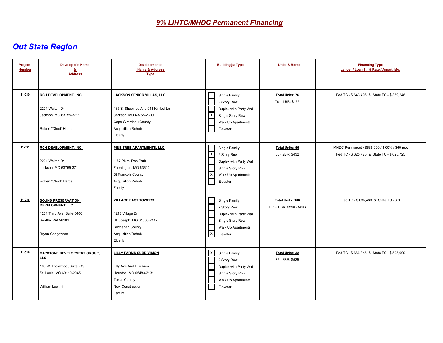| Project<br><b>Number</b> | <b>Developer's Name</b><br>&<br><b>Address</b>                                                                         | <b>Development's</b><br><b>Name &amp; Address</b><br><b>Type</b>                                                                                         | <b>Building(s) Type</b>                                                                                                                                   | <b>Units &amp; Rents</b>                      | <b>Financing Type</b><br>Lender / Loan \$ / % Rate / Amort. Mo.                           |
|--------------------------|------------------------------------------------------------------------------------------------------------------------|----------------------------------------------------------------------------------------------------------------------------------------------------------|-----------------------------------------------------------------------------------------------------------------------------------------------------------|-----------------------------------------------|-------------------------------------------------------------------------------------------|
| 11-030                   | RCH DEVELOPMENT, INC.<br>2201 Walton Dr<br>Jackson, MO 63755-3711<br>Robert "Chad" Hartle                              | <b>JACKSON SENIOR VILLAS, LLC</b><br>135 S. Shawnee And 911 Kimbel Ln<br>Jackson, MO 63755-2300<br>Cape Girardeau County<br>Acquisition/Rehab<br>Elderly | Single Family<br>2 Story Row<br>Duplex with Party Wall<br>$\mathbf{x}$<br>Single Story Row<br>Walk Up Apartments<br>Elevator                              | <b>Total Units: 76</b><br>76 - 1 BR: \$455    | Fed TC - \$643,496 & State TC - \$359,248                                                 |
| 11-031                   | <b>RCH DEVELOPMENT, INC.</b><br>2201 Walton Dr<br>Jackson, MO 63755-3711<br>Robert "Chad" Hartle                       | <b>PINE TREE APARTMENTS, LLC</b><br>1-57 Plum Tree Park<br>Farmington, MO 63640<br>St Francois County<br>Acquisition/Rehab<br>Family                     | Single Family<br>$\overline{x}$<br>2 Story Row<br>Duplex with Party Wall<br>Single Story Row<br>$\overline{\mathbf{x}}$<br>Walk Up Apartments<br>Elevator | <b>Total Units: 56</b><br>56 - 2BR: \$432     | MHDC Permanent / \$635,000 / 1.00% / 360 mo.<br>Fed TC - \$625,725 & State TC - \$625,725 |
| 11-035                   | <b>SOUND PRESERVATION</b><br>DEVELOPMENT LLC<br>1201 Third Ave, Suite 5400<br>Seattle, WA 98101<br>Bryon Gongaware     | <b>VILLAGE EAST TOWERS</b><br>1218 Village Dr<br>St. Joseph, MO 64506-2447<br><b>Buchanan County</b><br>Acquisition/Rehab<br>Elderly                     | Single Family<br>2 Story Row<br>Duplex with Party Wall<br>Single Story Row<br>Walk Up Apartments<br>$\overline{\mathbf{x}}$<br>Elevator                   | Total Units: 108<br>108 - 1 BR: \$558 - \$603 | Fed TC - \$635,430 & State TC - \$0                                                       |
| 11-036                   | <b>CAPSTONE DEVELOPMENT GROUP.</b><br>LLC<br>103 W. Lockwood, Suite 219<br>St. Louis, MO 63119-2945<br>William Luchini | <b>LILLY FARMS SUBDIVISION</b><br>Lilly Ave And Lilly View<br>Houston, MO 65483-2131<br><b>Texas County</b><br>New Construction<br>Family                | $\overline{\mathbf{x}}$<br>Single Family<br>2 Story Row<br>Duplex with Party Wall<br>Single Story Row<br>Walk Up Apartments<br>Elevator                   | <b>Total Units: 32</b><br>32 - 3BR: \$535     | Fed TC - \$666,845 & State TC - \$595,000                                                 |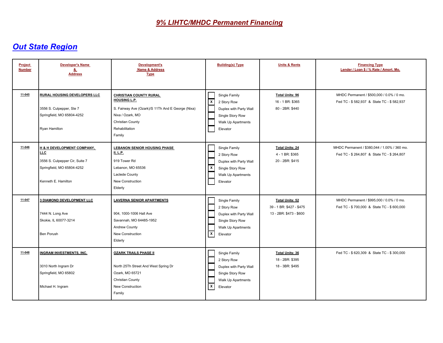| <b>Project</b><br><b>Number</b> | <b>Developer's Name</b><br>&<br><b>Address</b>                                                                                  | Development's<br>Name & Address<br><b>Type</b>                                                                                                                                | <b>Building(s) Type</b>                                                                                                                 | <b>Units &amp; Rents</b>                                                      | <b>Financing Type</b><br>Lender / Loan \$ / % Rate / Amort. Mo.                           |
|---------------------------------|---------------------------------------------------------------------------------------------------------------------------------|-------------------------------------------------------------------------------------------------------------------------------------------------------------------------------|-----------------------------------------------------------------------------------------------------------------------------------------|-------------------------------------------------------------------------------|-------------------------------------------------------------------------------------------|
| $11 - 045$                      | RURAL HOUSING DEVELOPERS LLC<br>3556 S. Culpepper, Ste 7<br>Springfield, MO 65804-4252<br>Ryan Hamilton                         | <b>CHRISTIAN COUNTY RURAL</b><br>HOUSING L.P.<br>S. Fairway Ave (Ozark)/S 11Th And E George (Nixa)<br>Nixa / Ozark, MO<br><b>Christian County</b><br>Rehabilitation<br>Family | Single Family<br>$\overline{\mathbf{x}}$<br>2 Story Row<br>Duplex with Party Wall<br>Single Story Row<br>Walk Up Apartments<br>Elevator | <b>Total Units: 96</b><br>16 - 1 BR: \$365<br>80 - 2BR: \$440                 | MHDC Permanent / \$500,000 / 0.0% / 0 mo.<br>Fed TC - \$582,937 & State TC - \$582,937    |
| 11-046                          | H & H DEVELOPMENT COMPANY,<br><b>LLC</b><br>3556 S. Culpepper Cir, Suite 7<br>Springfield, MO 65804-4252<br>Kenneth E. Hamilton | <b>LEBANON SENIOR HOUSING PHASE</b><br>II, L.P.<br>919 Tower Rd<br>Lebanon. MO 65536<br>Laclede County<br>New Construction<br>Elderly                                         | Single Family<br>2 Story Row<br>Duplex with Party Wall<br>$\mathbf x$<br>Single Story Row<br>Walk Up Apartments<br>Elevator             | <b>Total Units: 24</b><br>4 - 1 BR: \$365<br>20 - 2BR: \$415                  | MHDC Permanent / \$380,044 / 1.00% / 360 mo.<br>Fed TC - \$264,807 & State TC - \$264,807 |
| 11-047                          | 3 DIAMOND DEVELOPMENT LLC<br>7444 N. Long Ave<br>Skokie, IL 60077-3214<br><b>Ben Porush</b>                                     | <b>LAVERNA SENIOR APARTMENTS</b><br>904, 1000-1006 Hall Ave<br>Savannah, MO 64485-1952<br>Andrew County<br><b>New Construction</b><br>Elderly                                 | Single Family<br>2 Story Row<br>Duplex with Party Wall<br>Single Story Row<br>Walk Up Apartments<br>$\overline{\mathbf{x}}$<br>Elevator | <b>Total Units: 52</b><br>39 - 1 BR: \$427 - \$475<br>13 - 2BR: \$473 - \$600 | MHDC Permanent / \$995,000 / 0.0% / 0 mo.<br>Fed TC - \$700,000 & State TC - \$600,000    |
| 11-048                          | <b>INGRAM INVESTMENTS, INC.</b><br>3010 North Ingram Dr<br>Springfield, MO 65802<br>Michael H. Ingram                           | <b>OZARK TRAILS PHASE II</b><br>North 25Th Street And West Spring Dr<br>Ozark, MO 65721<br><b>Christian County</b><br>New Construction<br>Family                              | Single Family<br>2 Story Row<br>Duplex with Party Wall<br>Single Story Row<br>Walk Up Apartments<br>$\overline{\mathbf{x}}$<br>Elevator | <b>Total Units: 36</b><br>18 - 2BR: \$395<br>18 - 3BR: \$495                  | Fed TC - \$620,309 & State TC - \$300,000                                                 |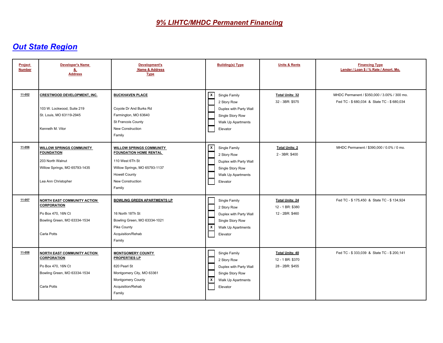| Project<br><b>Number</b> | <b>Developer's Name</b><br>&<br><b>Address</b>                                                                                   | Development's<br>Name & Address<br><b>Type</b>                                                                                                                             | <b>Building(s) Type</b>                                                                                                            | <b>Units &amp; Rents</b>                                      | <b>Financing Type</b><br>Lender / Loan \$ / % Rate / Amort. Mo.                           |
|--------------------------|----------------------------------------------------------------------------------------------------------------------------------|----------------------------------------------------------------------------------------------------------------------------------------------------------------------------|------------------------------------------------------------------------------------------------------------------------------------|---------------------------------------------------------------|-------------------------------------------------------------------------------------------|
| 11-052                   | <b>CRESTWOOD DEVELOPMENT, INC.</b><br>103 W. Lockwood. Suite 219<br>St. Louis, MO 63119-2945<br>Kenneth M. Vitor                 | <b>BUCKHAVEN PLACE</b><br>Coyote Dr And Burks Rd<br>Farmington, MO 63640<br>St Francois County<br>New Construction<br>Family                                               | $\boxed{x}$<br>Single Family<br>2 Story Row<br>Duplex with Party Wall<br>Single Story Row<br>Walk Up Apartments<br>Elevator        | <b>Total Units: 32</b><br>32 - 3BR: \$575                     | MHDC Permanent / \$350,000 / 3.00% / 300 mo.<br>Fed TC - \$680,034 & State TC - \$680,034 |
| 11-056                   | <b>WILLOW SPRINGS COMMUNITY</b><br><b>FOUNDATION</b><br>203 North Walnut<br>Willow Springs, MO 65793-1435<br>Lea Ann Christopher | <b>WILLOW SPRINGS COMMUNITY</b><br><b>FOUNDATION HOME RENTAL</b><br>110 West 6Th St<br>Willow Springs, MO 65793-1137<br><b>Howell County</b><br>New Construction<br>Family | $\sqrt{x}$<br>Single Family<br>2 Story Row<br>Duplex with Party Wall<br>Single Story Row<br>Walk Up Apartments<br>Elevator         | <b>Total Units: 2</b><br>2 - 3BR: \$400                       | MHDC Permanent / \$390,000 / 0.0% / 0 mo.                                                 |
| 11-057                   | <b>NORTH EAST COMMUNITY ACTION</b><br><b>CORPORATION</b><br>Po Box 470, 16N Ct<br>Bowling Green, MO 63334-1534<br>Carla Potts    | <b>BOWLING GREEN APARTMENTS LP</b><br>16 North 18Th St<br>Bowling Green, MO 63334-1021<br>Pike County<br>Acquisition/Rehab<br>Family                                       | Single Family<br>2 Story Row<br>Duplex with Party Wall<br>Single Story Row<br>$\boxed{\text{x}}$<br>Walk Up Apartments<br>Elevator | <b>Total Units: 24</b><br>12 - 1 BR: \$380<br>12 - 2BR: \$460 | Fed TC - \$ 175,450 & State TC - \$ 134,924                                               |
| 11-058                   | <b>NORTH EAST COMMUNITY ACTION</b><br>CORPORATION<br>Po Box 470, 16N Ct<br>Bowling Green, MO 63334-1534<br>Carla Potts           | <b>MONTGOMERY COUNTY</b><br><b>PROPERTIES LP</b><br>820 Pearl St<br>Montgomery City, MO 63361<br>Montgomery County<br>Acquisition/Rehab<br>Family                          | Single Family<br>2 Story Row<br>Duplex with Party Wall<br>Single Story Row<br>⊺x<br>Walk Up Apartments<br>Elevator                 | <b>Total Units: 40</b><br>12 - 1 BR: \$370<br>28 - 2BR: \$455 | Fed TC - \$333,039 & State TC - \$200,141                                                 |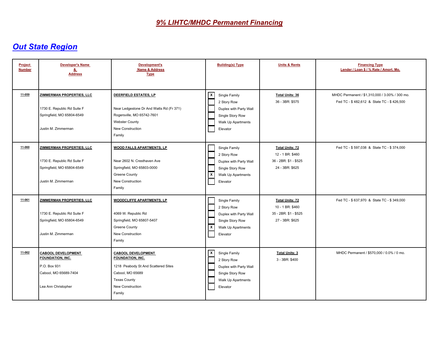| Project<br><b>Number</b> | <b>Developer's Name</b><br>&<br><b>Address</b>                                                                       | Development's<br>Name & Address<br><b>Type</b>                                                                                                                | <b>Building(s) Type</b>                                                                                                                 | <b>Units &amp; Rents</b>                                                               | <b>Financing Type</b><br>Lender / Loan \$ / % Rate / Amort. Mo.                             |
|--------------------------|----------------------------------------------------------------------------------------------------------------------|---------------------------------------------------------------------------------------------------------------------------------------------------------------|-----------------------------------------------------------------------------------------------------------------------------------------|----------------------------------------------------------------------------------------|---------------------------------------------------------------------------------------------|
| 11-059                   | ZIMMERMAN PROPERTIES, LLC<br>1730 E. Republic Rd Suite F<br>Springfield, MO 65804-6549<br>Justin M. Zimmerman        | DEERFIELD ESTATES, LP<br>Near Ledgestone Dr And Watts Rd (Fr 371)<br>Rogersville, MO 65742-7601<br><b>Webster County</b><br>New Construction<br>Family        | $\boxed{\mathsf{x}}$<br>Single Family<br>2 Story Row<br>Duplex with Party Wall<br>Single Story Row<br>Walk Up Apartments<br>Elevator    | <b>Total Units: 36</b><br>36 - 3BR: \$575                                              | MHDC Permanent / \$1,310,000 / 3.00% / 300 mo.<br>Fed TC - \$482,612 & State TC - \$426,500 |
| 11-060                   | <b>ZIMMERMAN PROPERTIES, LLC</b><br>1730 E. Republic Rd Suite F<br>Springfield, MO 65804-6549<br>Justin M. Zimmerman | <b>WOOD FALLS APARTMENTS, LP</b><br>Near 2602 N. Cresthaven Ave<br>Springfield, MO 65803-0000<br>Greene County<br>New Construction<br>Family                  | Single Family<br>2 Story Row<br>Duplex with Party Wall<br>Single Story Row<br>$\overline{\mathbf{x}}$<br>Walk Up Apartments<br>Elevator | <b>Total Units: 72</b><br>12 - 1 BR: \$460<br>36 - 2BR: \$1 - \$525<br>24 - 3BR: \$625 | Fed TC - \$597,038 & State TC - \$374,000                                                   |
| 11-061                   | ZIMMERMAN PROPERTIES, LLC<br>1730 E. Republic Rd Suite F<br>Springfield, MO 65804-6549<br>Justin M. Zimmerman        | <b>WOODCLIFFE APARTMENTS, LP</b><br>4069 W. Republic Rd<br>Springfield, MO 65807-5407<br>Greene County<br><b>New Construction</b><br>Family                   | Single Family<br>2 Story Row<br>Duplex with Party Wall<br>Single Story Row<br>$\boxed{\text{x}}$<br>Walk Up Apartments<br>Elevator      | <b>Total Units: 72</b><br>10 - 1 BR: \$460<br>35 - 2BR: \$1 - \$525<br>27 - 3BR: \$625 | Fed TC - \$637,970 & State TC - \$349,000                                                   |
| 11-062                   | <b>CABOOL DEVELOPMENT</b><br>FOUNDATION, INC.<br>P.O. Box 931<br>Cabool, MO 65689-7404<br>Lea Ann Christopher        | <b>CABOOL DEVELOPMENT</b><br>FOUNDATION, INC.<br>1218 Peabody St And Scattered Sites<br>Cabool, MO 65689<br><b>Texas County</b><br>New Construction<br>Family | $\boxed{\mathbf{x}}$<br>Single Family<br>2 Story Row<br>Duplex with Party Wall<br>Single Story Row<br>Walk Up Apartments<br>Elevator    | <b>Total Units: 3</b><br>3 - 3BR: \$400                                                | MHDC Permanent / \$570,000 / 0.0% / 0 mo.                                                   |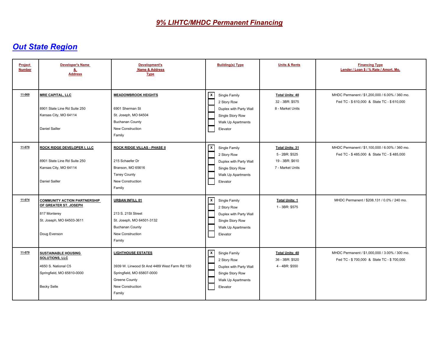| Project<br><b>Number</b> | <b>Developer's Name</b><br>8.<br><b>Address</b>                                                                           | Development's<br><b>Name &amp; Address</b><br><b>Type</b>                                                                                                     | <b>Building(s) Type</b>                                                                                                                 | <b>Units &amp; Rents</b>                                                        | <b>Financing Type</b><br>Lender / Loan \$ / % Rate / Amort. Mo.                             |
|--------------------------|---------------------------------------------------------------------------------------------------------------------------|---------------------------------------------------------------------------------------------------------------------------------------------------------------|-----------------------------------------------------------------------------------------------------------------------------------------|---------------------------------------------------------------------------------|---------------------------------------------------------------------------------------------|
| 11-069                   | <b>MRE CAPITAL, LLC</b><br>8901 State Line Rd Suite 250<br>Kansas City, MO 64114<br><b>Daniel Sailler</b>                 | <b>MEADOWBROOK HEIGHTS</b><br>6901 Sherman St<br>St. Joseph, MO 64504<br><b>Buchanan County</b><br>New Construction<br>Family                                 | $\overline{x}$<br>Single Family<br>2 Story Row<br>Duplex with Party Wall<br>Single Story Row<br>Walk Up Apartments<br>Elevator          | <b>Total Units: 40</b><br>32 - 3BR: \$575<br>8 - Market Units                   | MHDC Permanent / \$1,200,000 / 6.00% / 360 mo.<br>Fed TC - \$610,000 & State TC - \$610,000 |
| 11-070                   | <b>ROCK RIDGE DEVELOPER I, LLC</b><br>8901 State Line Rd Suite 250<br>Kansas City, MO 64114<br>Daniel Sailler             | <b>ROCK RIDGE VILLAS - PHASE II</b><br>215 Schaefer Dr<br>Branson, MO 65616<br><b>Taney County</b><br>New Construction<br>Family                              | $\mathbf{x}$<br>Single Family<br>2 Story Row<br>Duplex with Party Wall<br>Single Story Row<br>Walk Up Apartments<br>Elevator            | <b>Total Units: 31</b><br>5 - 2BR: \$525<br>19 - 3BR: \$610<br>7 - Market Units | MHDC Permanent / \$1,100,000 / 6.00% / 360 mo.<br>Fed TC - \$485,000 & State TC - \$485,000 |
| 11-074                   | <b>COMMUNITY ACTION PARTNERSHIP</b><br>OF GREATER ST. JOSEPH<br>817 Monterey<br>St. Joseph, MO 64503-3611<br>Doug Evenson | <b>URBAN INFILL 01</b><br>213 S. 21St Street<br>St. Joseph, MO 64501-3132<br><b>Buchanan County</b><br>New Construction<br>Family                             | $\overline{\mathbf{x}}$<br>Single Family<br>2 Story Row<br>Duplex with Party Wall<br>Single Story Row<br>Walk Up Apartments<br>Elevator | <b>Total Units: 1</b><br>1 - 3BR: \$575                                         | MHDC Permanent / \$208,131 / 0.0% / 240 mo.                                                 |
| 11-079                   | <b>SUSTAINABLE HOUSING</b><br>SOLUTIONS, LLC<br>4650 S. National C5<br>Springfield, MO 65810-0000<br><b>Becky Selle</b>   | <b>LIGHTHOUSE ESTATES</b><br>3939 W. Linwood St And 4489 West Farm Rd 150<br>Springfield, MO 65807-0000<br><b>Greene County</b><br>New Construction<br>Family | $\overline{\mathbf{x}}$<br>Single Family<br>2 Story Row<br>Duplex with Party Wall<br>Single Story Row<br>Walk Up Apartments<br>Elevator | <b>Total Units: 40</b><br>36 - 3BR: \$520<br>4 - 4BR: \$550                     | MHDC Permanent / \$1,000,000 / 3.00% / 300 mo.<br>Fed TC - \$700,000 & State TC - \$700,000 |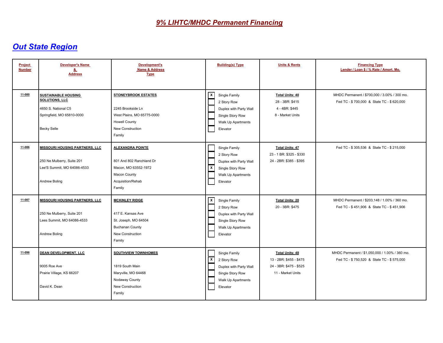| <b>Project</b><br><b>Number</b> | <b>Developer's Name</b><br>&<br><b>Address</b>                                                                                 | Development's<br><b>Name &amp; Address</b><br><b>Type</b>                                                                           | <b>Building(s) Type</b>                                                                                                              | <b>Units &amp; Rents</b>                                                                          | <b>Financing Type</b><br>Lender / Loan \$ / % Rate / Amort. Mo.                             |
|---------------------------------|--------------------------------------------------------------------------------------------------------------------------------|-------------------------------------------------------------------------------------------------------------------------------------|--------------------------------------------------------------------------------------------------------------------------------------|---------------------------------------------------------------------------------------------------|---------------------------------------------------------------------------------------------|
| 11-080                          | <b>SUSTAINABLE HOUSING</b><br><b>SOLUTIONS, LLC</b><br>4650 S. National C5<br>Springfield, MO 65810-0000<br><b>Becky Selle</b> | <b>STONEYBROOK ESTATES</b><br>2245 Brookside Ln<br>West Plains, MO 65775-0000<br><b>Howell County</b><br>New Construction<br>Family | $\boxed{\mathbf{x}}$<br>Single Family<br>2 Story Row<br>Duplex with Party Wall<br>Single Story Row<br>Walk Up Apartments<br>Elevator | <b>Total Units: 40</b><br>28 - 3BR: \$415<br>4 - 4BR: \$445<br>8 - Market Units                   | MHDC Permanent / \$700,000 / 3.00% / 300 mo.<br>Fed TC - \$700,000 & State TC - \$620,000   |
| 11-086                          | <b>MISSOURI HOUSING PARTNERS, LLC</b><br>250 Ne Mulberry, Suite 201<br>Lee'S Summit, MO 64086-4533<br>Andrew Boling            | <b>ALEXANDRA POINTE</b><br>801 And 802 Ranchland Dr<br>Macon, MO 63552-1972<br>Macon County<br>Acquisition/Rehab<br>Family          | Single Family<br>2 Story Row<br>Duplex with Party Wall<br>⊺×<br>Single Story Row<br>Walk Up Apartments<br>Elevator                   | <b>Total Units: 47</b><br>23 - 1 BR: \$325 - \$330<br>24 - 2BR: \$385 - \$395                     | Fed TC - \$305,536 & State TC - \$215,000                                                   |
| 11-087                          | MISSOURI HOUSING PARTNERS, LLC<br>250 Ne Mulberry, Suite 201<br>Lees Summit, MO 64086-4533<br>Andrew Boling                    | <b>MCKINLEY RIDGE</b><br>417 E. Kansas Ave<br>St. Joseph, MO 64504<br><b>Buchanan County</b><br><b>New Construction</b><br>Family   | $\overline{x}$<br>Single Family<br>2 Story Row<br>Duplex with Party Wall<br>Single Story Row<br>Walk Up Apartments<br>Elevator       | <b>Total Units: 20</b><br>20 - 3BR: \$475                                                         | MHDC Permanent / \$203,148 / 1.00% / 360 mo.<br>Fed TC - \$451,906 & State TC - \$451,906   |
| 11-096                          | <b>DEAN DEVELOPMENT, LLC</b><br>9005 Roe Ave<br>Prairie Village, KS 66207<br>David K. Dean                                     | <b>SOUTHVIEW TOWNHOMES</b><br>1819 South Main<br>Maryville, MO 64468<br>Nodaway County<br>New Construction<br>Family                | Single Family<br>⊺⊼<br>2 Story Row<br>Duplex with Party Wall<br>Single Story Row<br>Walk Up Apartments<br>Elevator                   | <b>Total Units: 48</b><br>13 - 2BR: \$455 - \$475<br>24 - 3BR: \$475 - \$525<br>11 - Market Units | MHDC Permanent / \$1,050,000 / 1.00% / 360 mo.<br>Fed TC - \$750,520 & State TC - \$575,000 |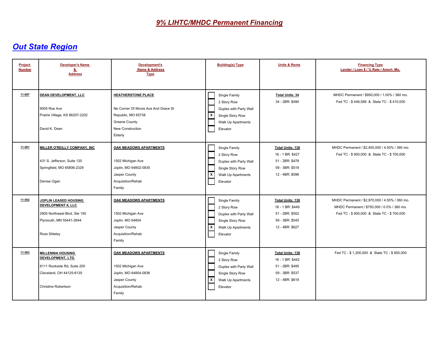| Project<br><b>Number</b> | <b>Developer's Name</b><br>&<br><b>Address</b>                                                                                         | <b>Development's</b><br><b>Name &amp; Address</b><br><b>Type</b>                                                                                 | <b>Building(s) Type</b>                                                                                                        | <b>Units &amp; Rents</b>                                                                             | <b>Financing Type</b><br>Lender / Loan \$ / % Rate / Amort. Mo.                                                                            |
|--------------------------|----------------------------------------------------------------------------------------------------------------------------------------|--------------------------------------------------------------------------------------------------------------------------------------------------|--------------------------------------------------------------------------------------------------------------------------------|------------------------------------------------------------------------------------------------------|--------------------------------------------------------------------------------------------------------------------------------------------|
| 11-097                   | <b>DEAN DEVELOPMENT, LLC</b><br>9005 Roe Ave<br>Prairie Village, KS 66207-2202<br>David K. Dean                                        | <b>HEATHERSTONE PLACE</b><br>Ne Corner Of Illinois Ave And Grace St<br>Republic, MO 65738<br>Greene County<br><b>New Construction</b><br>Elderly | Single Family<br>2 Story Row<br>Duplex with Party Wall<br>  x<br>Single Story Row<br>Walk Up Apartments<br>Elevator            | <b>Total Units: 34</b><br>34 - 2BR: \$490                                                            | MHDC Permanent / \$950,000 / 1,00% / 360 mo.<br>Fed TC - \$446,589 & State TC - \$410,000                                                  |
| 11-501                   | MILLER O'REILLY COMPANY, INC<br>431 S. Jefferson, Suite 120<br>Springfield, MO 65806-2329<br>Denise Ogan                               | <b>OAK MEADOWS APARTMENTS</b><br>1502 Michigan Ave<br>Joplin, MO 64802-0835<br>Jasper County<br>Acquisition/Rehab<br>Family                      | Single Family<br>2 Story Row<br>Duplex with Party Wall<br>Single Story Row<br>  x<br>Walk Up Apartments<br>Elevator            | Total Units: 138<br>16 - 1 BR: \$427<br>51 - 2BR: \$478<br>59 - 3BR: \$519<br>12 - 4BR: \$596        | MHDC Permanent / \$2,400,000 / 4.50% / 360 mo.<br>Fed TC - \$900,000 & State TC - \$700,000                                                |
| 11-502                   | JOPLIN LEASED HOUSING<br>DEVELOPMENT II, LLC<br>2905 Northwest Blvd, Ste 150<br>Plymouth, MN 55441-2644<br>Ross Stiteley               | OAK MEADOWS APARTMENTS<br>1502 Michigan Ave<br>Joplin, MO 64804<br>Jasper County<br>Acquisition/Rehab<br>Family                                  | Single Family<br>2 Story Row<br>Duplex with Party Wall<br>Single Story Row<br>$\overline{x}$<br>Walk Up Apartments<br>Elevator | <b>Total Units: 138</b><br>16 - 1 BR: \$449<br>51 - 2BR: \$502<br>59 - 3BR: \$545<br>12 - 4BR: \$627 | MHDC Permanent / \$2,970,000 / 4.50% / 360 mo.<br>MHDC Permanent / \$750,000 / 0.0% / 360 mo.<br>Fed TC - \$900,000 & State TC - \$700,000 |
| $11 - 503$               | <b>MILLENNIA HOUSING</b><br>DEVELOPMENT, LTD.<br>8111 Rockside Rd. Suite 200<br>Cleveland, OH 44125-6135<br><b>Christine Robertson</b> | <b>OAK MEADOWS APARTMENTS</b><br>1502 Michigan Ave<br>Joplin, MO 64804-0836<br>Jasper County<br>Acquisition/Rehab<br>Family                      | Single Family<br>2 Story Row<br>Duplex with Party Wall<br>Single Story Row<br>Γx<br><b>Walk Up Apartments</b><br>Elevator      | <b>Total Units: 138</b><br>16 - 1 BR: \$442<br>51 - 2BR: \$495<br>59 - 3BR: \$537<br>12 - 4BR: \$618 | Fed TC - \$1,200,000 & State TC - \$600,000                                                                                                |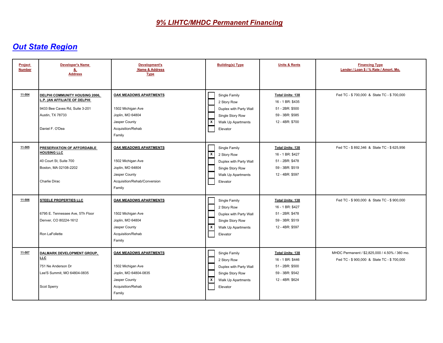| Project<br><b>Number</b> | <b>Developer's Name</b><br>8.<br><b>Address</b>                                                                                         | Development's<br><b>Name &amp; Address</b><br><b>Type</b>                                                                         | <b>Building(s) Type</b>                                                                                                                   | <b>Units &amp; Rents</b>                                                                             | <b>Financing Type</b><br>Lender / Loan \$ / % Rate / Amort. Mo.                             |
|--------------------------|-----------------------------------------------------------------------------------------------------------------------------------------|-----------------------------------------------------------------------------------------------------------------------------------|-------------------------------------------------------------------------------------------------------------------------------------------|------------------------------------------------------------------------------------------------------|---------------------------------------------------------------------------------------------|
| $11 - 504$               | DELPHI COMMUNITY HOUSING 2006,<br>L.P. (AN AFFILIATE OF DELPHI<br>9433 Bee Caves Rd, Suite 3-201<br>Austin, TX 78733<br>Daniel F. O'Dea | OAK MEADOWS APARTMENTS<br>1502 Michigan Ave<br>Joplin, MO 64804<br>Jasper County<br>Acquisition/Rehab<br>Family                   | Single Family<br>2 Story Row<br>Duplex with Party Wall<br>Single Story Row<br>$\boldsymbol{\mathsf{x}}$<br>Walk Up Apartments<br>Elevator | <b>Total Units: 138</b><br>16 - 1 BR: \$435<br>51 - 2BR: \$500<br>59 - 3BR: \$585<br>12 - 4BR: \$700 | Fed TC - \$700,000 & State TC - \$700,000                                                   |
| 11-505                   | PRESERVATION OF AFFORDABLE<br><b>HOUSING LLC</b><br>40 Court St, Suite 700<br>Boston, MA 02108-2202<br>Charlie Dirac                    | <b>OAK MEADOWS APARTMENTS</b><br>1502 Michigan Ave<br>Joplin, MO 64804<br>Jasper County<br>Acquisition/Rehab/Conversion<br>Family | Single Family<br>$\overline{\mathbf{x}}$<br>2 Story Row<br>Duplex with Party Wall<br>Single Story Row<br>Walk Up Apartments<br>Elevator   | <b>Total Units: 138</b><br>16 - 1 BR: \$427<br>51 - 2BR: \$478<br>59 - 3BR: \$519<br>12 - 4BR: \$597 | Fed TC - \$892,346 & State TC - \$625,956                                                   |
| 11-506                   | STEELE PROPERTIES LLC<br>6795 E. Tennessee Ave, 5Th Floor<br>Denver, CO 80224-1612<br>Ron LaFollette                                    | OAK MEADOWS APARTMENTS<br>1502 Michigan Ave<br>Joplin, MO 64804<br>Jasper County<br>Acquisition/Rehab<br>Family                   | Single Family<br>2 Story Row<br>Duplex with Party Wall<br>Single Story Row<br>$\mathbf x$<br>Walk Up Apartments<br>Elevator               | <b>Total Units: 138</b><br>16 - 1 BR: \$427<br>51 - 2BR: \$478<br>59 - 3BR: \$519<br>12 - 4BR: \$597 | Fed TC - \$900,000 & State TC - \$900,000                                                   |
| 11-507                   | DALMARK DEVELOPMENT GROUP,<br>LLC<br>751 Ne Anderson Dr<br>Lee'S Summit, MO 64804-0835<br>Scot Sperry                                   | OAK MEADOWS APARTMENTS<br>1502 Michigan Ave<br>Joplin, MO 64804-0835<br>Jasper County<br>Acquisition/Rehab<br>Family              | Single Family<br>2 Story Row<br>Duplex with Party Wall<br>Single Story Row<br>$\boldsymbol{\mathsf{x}}$<br>Walk Up Apartments<br>Elevator | <b>Total Units: 138</b><br>16 - 1 BR: \$446<br>51 - 2BR: \$500<br>59 - 3BR: \$542<br>12 - 4BR: \$624 | MHDC Permanent / \$2,825,000 / 4.50% / 360 mo.<br>Fed TC - \$900,000 & State TC - \$700,000 |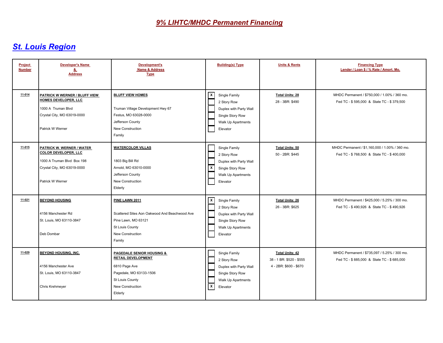| <b>Project</b><br><b>Number</b> | <b>Developer's Name</b><br>&<br><b>Address</b>                                                                                                   | <b>Development's</b><br><b>Name &amp; Address</b><br><b>Type</b>                                                                                                | <b>Building(s) Type</b>                                                                                                                 | <b>Units &amp; Rents</b>                                                     | <b>Financing Type</b><br>Lender / Loan \$ / % Rate / Amort. Mo.                             |
|---------------------------------|--------------------------------------------------------------------------------------------------------------------------------------------------|-----------------------------------------------------------------------------------------------------------------------------------------------------------------|-----------------------------------------------------------------------------------------------------------------------------------------|------------------------------------------------------------------------------|---------------------------------------------------------------------------------------------|
| $11 - 014$                      | PATRICK W WERNER / BLUFF VIEW<br>HOMES DEVELOPER, LLC<br>1000 A Truman Blvd<br>Crystal City, MO 63019-0000<br>Patrick W Werner                   | <b>BLUFF VIEW HOMES</b><br>Truman Village Development Hwy 67<br>Festus, MO 63028-0000<br>Jefferson County<br>New Construction<br>Family                         | $\overline{x}$<br>Single Family<br>2 Story Row<br>Duplex with Party Wall<br>Single Story Row<br>Walk Up Apartments<br>Elevator          | <b>Total Units: 28</b><br>28 - 3BR: \$490                                    | MHDC Permanent / \$750,000 / 1.00% / 360 mo.<br>Fed TC - \$595,000 & State TC - \$379,500   |
| 11-015                          | <b>PATRICK W. WERNER / WATER</b><br><b>COLOR DEVELOPER, LLC</b><br>1000 A Truman Blvd Box 198<br>Crystal City, MO 63019-0000<br>Patrick W Werner | <b>WATERCOLOR VILLAS</b><br>1803 Big Bill Rd<br>Arnold, MO 63010-0000<br>Jefferson County<br>New Construction<br>Elderly                                        | Single Family<br>2 Story Row<br>Duplex with Party Wall<br>$\pmb{\mathsf{x}}$<br>Single Story Row<br>Walk Up Apartments<br>Elevator      | <b>Total Units: 50</b><br>50 - 2BR: \$445                                    | MHDC Permanent / \$1,160,000 / 1.00% / 360 mo.<br>Fed TC - \$768,500 & State TC - \$400,000 |
| $11 - 021$                      | <b>BEYOND HOUSING</b><br>4156 Manchester Rd<br>St. Louis, MO 63110-3847<br>Deb Dombar                                                            | PINE LAWN 2011<br>Scattered Sites Aon Oakwood And Beachwood Ave<br>Pine Lawn, MO 63121<br>St Louis County<br>New Construction<br>Family                         | $\overline{\mathbf{x}}$<br>Single Family<br>2 Story Row<br>Duplex with Party Wall<br>Single Story Row<br>Walk Up Apartments<br>Elevator | <b>Total Units: 26</b><br>26 - 3BR: \$625                                    | MHDC Permanent / \$425,000 / 5.25% / 300 mo.<br>Fed TC - \$490,926 & State TC - \$490,926   |
| 11-029                          | <b>BEYOND HOUSING, INC.</b><br>4156 Manchester Ave<br>St. Louis, MO 63110-3847<br>Chris Krehmeyer                                                | <b>PAGEDALE SENIOR HOUSING &amp;</b><br><b>RETAIL DEVELOPMENT</b><br>6810 Page Ave<br>Pagedale, MO 63133-1506<br>St Louis County<br>New Construction<br>Elderly | Single Family<br>2 Story Row<br>Duplex with Party Wall<br>Single Story Row<br>Walk Up Apartments<br>$\pmb{\mathsf{x}}$<br>Elevator      | <b>Total Units: 42</b><br>38 - 1 BR: \$520 - \$555<br>4 - 2BR: \$600 - \$670 | MHDC Permanent / \$735.097 / 5.25% / 300 mo.<br>Fed TC - \$885,000 & State TC - \$685,000   |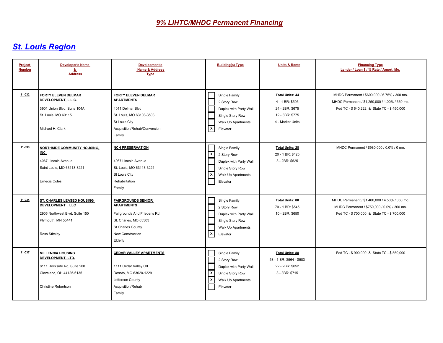| <b>Project</b><br><b>Number</b> | <b>Developer's Name</b><br>&<br><b>Address</b>                                                                                         | <b>Development's</b><br><b>Name &amp; Address</b><br><b>Type</b>                                                                                           | <b>Building(s) Type</b>                                                                                                                  | <b>Units &amp; Rents</b>                                                                            | <b>Financing Type</b><br>Lender / Loan \$ / % Rate / Amort. Mo.                                                                             |
|---------------------------------|----------------------------------------------------------------------------------------------------------------------------------------|------------------------------------------------------------------------------------------------------------------------------------------------------------|------------------------------------------------------------------------------------------------------------------------------------------|-----------------------------------------------------------------------------------------------------|---------------------------------------------------------------------------------------------------------------------------------------------|
| 11-032                          | <b>FORTY ELEVEN DELMAR</b><br>DEVELOPMENT, L.L.C.<br>3901 Union Blvd, Suite 104A<br>St. Louis, MO 63115<br>Michael H. Clark            | <b>FORTY ELEVEN DELMAR</b><br><b>APARTMENTS</b><br>4011 Delmar Blvd<br>St. Louis, MO 63108-3503<br>St Louis City<br>Acquisition/Rehab/Conversion<br>Family | Single Family<br>2 Story Row<br>Duplex with Party Wall<br>Single Story Row<br>Walk Up Apartments<br>$\overline{x}$<br>Elevator           | <b>Total Units: 44</b><br>4 - 1 BR: \$595<br>24 - 2BR: \$675<br>12 - 3BR: \$775<br>4 - Market Units | MHDC Permanent / \$600,000 / 6.75% / 360 mo.<br>MHDC Permanent / \$1,250,000 / 1.00% / 360 mo.<br>Fed TC - \$640,222 & State TC - \$450,000 |
| 11-033                          | <b>NORTHSIDE COMMUNITY HOUSING,</b><br>INC.<br>4067 Lincoln Avenue<br>Saint Louis, MO 63113-3221<br>Ernecia Coles                      | <b>NCH PRESERVATION</b><br>4067 Lincoln Avenue<br>St. Louis, MO 63113-3221<br>St Louis City<br>Rehabilitation<br>Family                                    | Single Family<br>⊺x<br>2 Story Row<br>Duplex with Party Wall<br>Single Story Row<br>$\boxed{\text{x}}$<br>Walk Up Apartments<br>Elevator | <b>Total Units: 28</b><br>20 - 1 BR: \$425<br>8 - 2BR: \$525                                        | MHDC Permanent / \$980,000 / 0.0% / 0 mo.                                                                                                   |
| 11-034                          | ST. CHARLES LEASED HOUSING<br>DEVELOPMENT I, LLC<br>2905 Northwest Blvd, Suite 150<br>Plymouth, MN 55441<br>Ross Stiteley              | <b>FAIRGROUNDS SENIOR</b><br><b>APARTMENTS</b><br>Fairgrounds And Friedens Rd<br>St. Charles, MO 63303<br>St Charles County<br>New Construction<br>Elderly | Single Family<br>2 Story Row<br>Duplex with Party Wall<br>Single Story Row<br>Walk Up Apartments<br>$\overline{\mathbf{x}}$<br>Elevator  | <b>Total Units: 80</b><br>70 - 1 BR: \$545<br>10 - 2BR: \$650                                       | MHDC Permanent / \$1,400,000 / 4.50% / 360 mo.<br>MHDC Permanent / \$750,000 / 0.0% / 360 mo.<br>Fed TC - \$700,000 & State TC - \$700,000  |
| 11-037                          | <b>MILLENNIA HOUSING</b><br>DEVELOPMENT, LTD.<br>8111 Rockside Rd, Suite 200<br>Cleveland, OH 44125-6135<br><b>Christine Robertson</b> | <b>CEDAR VALLEY APARTMENTS</b><br>1111 Cedar Valley Crt<br>Desoto, MO 63020-1229<br>Jefferson County<br>Acquisition/Rehab<br>Family                        | Single Family<br>2 Story Row<br>Duplex with Party Wall<br>$\frac{x}{x}$<br>Single Story Row<br>Walk Up Apartments<br>Elevator            | <b>Total Units: 88</b><br>58 - 1 BR: \$564 - \$583<br>22 - 2BR: \$652<br>8 - 3BR: \$715             | Fed TC - \$900,000 & State TC - \$550,000                                                                                                   |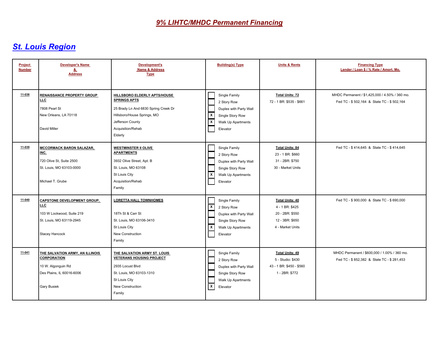| <b>Project</b><br><b>Number</b> | <b>Developer's Name</b><br>&<br><b>Address</b>                                                                                     | <b>Development's</b><br><b>Name &amp; Address</b><br><b>Type</b>                                                                                                               | <b>Building(s) Type</b>                                                                                                                                            | <b>Units &amp; Rents</b>                                                                            | <b>Financing Type</b><br>Lender / Loan \$ / % Rate / Amort. Mo.                             |
|---------------------------------|------------------------------------------------------------------------------------------------------------------------------------|--------------------------------------------------------------------------------------------------------------------------------------------------------------------------------|--------------------------------------------------------------------------------------------------------------------------------------------------------------------|-----------------------------------------------------------------------------------------------------|---------------------------------------------------------------------------------------------|
| 11-038                          | <b>RENAISSANCE PROPERTY GROUP</b><br>LLC.<br>7808 Pearl St<br>New Orleans, LA 70118<br>David Miller                                | HILLSBORO ELDERLY APTS/HOUSE<br><b>SPRINGS APTS</b><br>25 Brady Ln And 6830 Spring Creek Dr<br>Hillsboro/House Springs, MO<br>Jefferson County<br>Acquisition/Rehab<br>Elderly | Single Family<br>2 Story Row<br>Duplex with Party Wall<br>$\boldsymbol{\mathsf{x}}$<br>Single Story Row<br>$\overline{x}$<br>Walk Up Apartments<br>Elevator        | <b>Total Units: 72</b><br>72 - 1 BR: \$535 - \$661                                                  | MHDC Permanent / \$1.425.000 / 4.50% / 360 mo.<br>Fed TC - \$502,164 & State TC - \$502,164 |
| 11-039                          | <b>MCCORMACK BARON SALAZAR,</b><br>INC.<br>720 Olive St, Suite 2500<br>St. Louis, MO 63103-0000<br>Michael T. Grube                | <b>WESTMINSTER II OLIVE</b><br><b>APARTMENTS</b><br>3932 Olive Street, Apt. B<br>St. Louis, MO 63108<br>St Louis City<br>Acquisition/Rehab<br>Family                           | Single Family<br>2 Story Row<br>Duplex with Party Wall<br>Single Story Row<br>$\pmb{\mathsf{x}}$<br>Walk Up Apartments<br>Elevator                                 | <b>Total Units: 84</b><br>23 - 1 BR: \$660<br>31 - 2BR: \$750<br>30 - Market Units                  | Fed TC - \$414,645 & State TC - \$414,645                                                   |
| 11-040                          | <b>CAPSTONE DEVELOPMENT GROUP,</b><br><b>LLC</b><br>103 W Lockwood, Suite 219<br>St. Louis, MO 63119-2945<br><b>Stacey Hancock</b> | <b>LORETTA HALL TOWNHOMES</b><br>18Th St & Carr St<br>St. Louis, MO 63106-3410<br>St Louis City<br>New Construction<br>Family                                                  | Single Family<br>$\overline{\mathbf{x}}$<br>2 Story Row<br>Duplex with Party Wall<br>Single Story Row<br>$\overline{\mathbf{x}}$<br>Walk Up Apartments<br>Elevator | <b>Total Units: 40</b><br>4 - 1 BR: \$425<br>20 - 2BR: \$550<br>12 - 3BR: \$650<br>4 - Market Units | Fed TC - \$900,000 & State TC - \$690,000                                                   |
| $11 - 041$                      | THE SALVATION ARMY, AN ILLINOIS<br><b>CORPORATION</b><br>10 W. Algonguin Rd<br>Des Plains, IL 60016-6006<br><b>Gary Busiek</b>     | THE SALVATION ARMY ST. LOUIS<br><b>VETERANS HOUSING PROJECT</b><br>2935 Locust Blvd<br>St. Louis, MO 63103-1310<br>St Louis City<br>New Construction<br>Family                 | Single Family<br>2 Story Row<br>Duplex with Party Wall<br>Single Story Row<br>Walk Up Apartments<br>$\pmb{\mathsf{x}}$<br>Elevator                                 | <b>Total Units: 49</b><br>5 - Studio: \$430<br>43 - 1 BR: \$450 - \$560<br>1 - 2BR: \$772           | MHDC Permanent / \$600,000 / 1,00% / 360 mo.<br>Fed TC - \$852,382 & State TC - \$281,453   |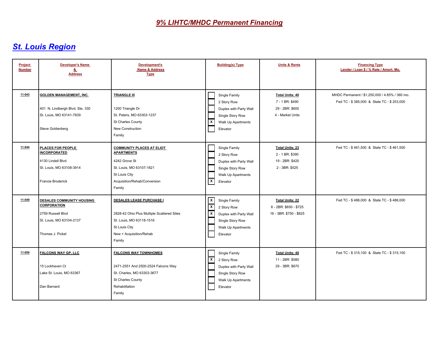| <b>Project</b><br><b>Number</b> | <b>Developer's Name</b><br>&<br><b>Address</b>                                                                              | <b>Development's</b><br>Name & Address<br><b>Type</b>                                                                                                         | <b>Building(s) Type</b>                                                                                                                                                              | <b>Units &amp; Rents</b>                                                         | <b>Financing Type</b><br>Lender / Loan \$ / % Rate / Amort. Mo.                             |
|---------------------------------|-----------------------------------------------------------------------------------------------------------------------------|---------------------------------------------------------------------------------------------------------------------------------------------------------------|--------------------------------------------------------------------------------------------------------------------------------------------------------------------------------------|----------------------------------------------------------------------------------|---------------------------------------------------------------------------------------------|
| 11-043                          | <b>GOLDEN MANAGEMENT. INC.</b><br>401 N. Lindbergh Blvd, Ste. 330<br>St. Louis, MO 63141-7839<br>Steve Goldenberg           | <b>TRIANGLE III</b><br>1200 Triangle Dr<br>St. Peters, MO 63303-1237<br>St Charles County<br>New Construction<br>Family                                       | Single Family<br>2 Story Row<br>Duplex with Party Wall<br>Single Story Row<br>$\overline{\mathbf{x}}$<br>Walk Up Apartments<br>Elevator                                              | <b>Total Units: 40</b><br>7 - 1 BR: \$490<br>29 - 2BR: \$600<br>4 - Market Units | MHDC Permanent / \$1.250.000 / 4.85% / 360 mo.<br>Fed TC - \$385,000 & State TC - \$253,000 |
| 11-044                          | PLACES FOR PEOPLE<br><b>INCORPORATED</b><br>4130 Lindell Blvd<br>St. Louis, MO 63108-3914<br>Francie Broderick              | <b>COMMUNITY PLACES AT ELIOT</b><br><b>APARTMENTS</b><br>4242 Grove St<br>St. Louis, MO 63107-1821<br>St Louis City<br>Acquisition/Rehab/Conversion<br>Family | Single Family<br>2 Story Row<br>Duplex with Party Wall<br>Single Story Row<br>Walk Up Apartments<br>$\mathbf{x}$<br>Elevator                                                         | <b>Total Units: 23</b><br>2 - 1 BR: \$390<br>19 - 2BR: \$420<br>2 - 3BR: \$525   | Fed TC - \$461,500 & State TC - \$461,500                                                   |
| 11-049                          | <b>DESALES COMMUNITY HOUSING</b><br><b>CORPORATION</b><br>2759 Russell Blvd<br>St. Louis, MO 63104-2137<br>Thomas J. Pickel | DESALES LEASE PURCHASE I<br>2828-42 Ohio Plus Multiple Scattered Sites<br>St. Louis, MO 63118-1516<br>St Louis City<br>New + Acquisition/Rehab<br>Family      | $\overline{\mathbf{x}}$<br>Single Family<br>$\overline{x}$<br>2 Story Row<br>$\overline{\mathbf{x}}$<br>Duplex with Party Wall<br>Single Story Row<br>Walk Up Apartments<br>Elevator | Total Units: 22<br>6 - 2BR: \$650 - \$725<br>16 - 3BR: \$750 - \$825             | Fed TC - \$486,000 & State TC - \$486,000                                                   |
| $11 - 050$                      | <b>FALCONS WAY GP, LLC</b><br>15 Lockhaven Ct<br>Lake St. Louis, MO 63367<br>Dan Barnard                                    | <b>FALCONS WAY TOWNHOMES</b><br>2471-2551 And 2500-2524 Falcons Way<br>St. Charles, MO 63303-3677<br>St Charles County<br>Rehabilitation<br>Family            | Single Family<br>$\overline{\mathbf{x}}$<br>2 Story Row<br>Duplex with Party Wall<br>Single Story Row<br>Walk Up Apartments<br>Elevator                                              | <b>Total Units: 40</b><br>11 - 2BR: \$580<br>29 - 3BR: \$670                     | Fed TC - \$315,100 & State TC - \$315,100                                                   |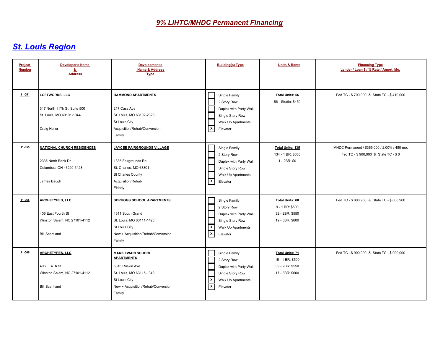| <b>Project</b><br><b>Number</b> | <b>Developer's Name</b><br>&<br><b>Address</b>                                                        | Development's<br>Name & Address<br><b>Type</b>                                                                                                                | <b>Building(s) Type</b>                                                                                                                                 | <b>Units &amp; Rents</b>                                                         | <b>Financing Type</b><br>Lender / Loan \$ / % Rate / Amort. Mo.                     |
|---------------------------------|-------------------------------------------------------------------------------------------------------|---------------------------------------------------------------------------------------------------------------------------------------------------------------|---------------------------------------------------------------------------------------------------------------------------------------------------------|----------------------------------------------------------------------------------|-------------------------------------------------------------------------------------|
| $11 - 051$                      | <b>LOFTWORKS, LLC</b><br>317 North 11Th St; Suite 500<br>St. Louis, MO 63101-1944<br>Craig Heller     | <b>HAMMOND APARTMENTS</b><br>217 Cass Ave<br>St. Louis, MO 63102-2328<br>St Louis City<br>Acquisition/Rehab/Conversion<br>Family                              | Single Family<br>2 Story Row<br>Duplex with Party Wall<br>Single Story Row<br>Walk Up Apartments<br>$\overline{\mathbf{x}}$<br>Elevator                 | <b>Total Units: 56</b><br>56 - Studio: \$450                                     | Fed TC - \$700,000 & State TC - \$410,000                                           |
| $11 - 055$                      | <b>NATIONAL CHURCH RESIDENCES</b><br>2335 North Bank Dr<br>Columbus, OH 43220-5423<br>James Baugh     | JAYCEE FAIRGROUNDS VILLAGE<br>1335 Fairgrounds Rd<br>St. Charles, MO 63301<br>St Charles County<br>Acquisition/Rehab<br>Elderly                               | Single Family<br>2 Story Row<br>Duplex with Party Wall<br>Single Story Row<br>Walk Up Apartments<br>$\mathbf{x}$<br>Elevator                            | <b>Total Units: 135</b><br>134 - 1 BR: \$655<br>1 - 2BR: \$0                     | MHDC Permanent / \$365,000 / 2.00% / 480 mo.<br>Fed TC - \$900,000 & State TC - \$0 |
| 11-065                          | <b>ARCHETYPES, LLC</b><br>406 East Fourth St<br>Winston Salem, NC 27101-4112<br><b>Bill Scantland</b> | <b>SCRUGGS SCHOOL APARTMENTS</b><br>4611 South Grand<br>St. Louis, MO 63111-1423<br>St Louis City<br>New + Acquisition/Rehab/Conversion<br>Family             | Single Family<br>2 Story Row<br>Duplex with Party Wall<br>Single Story Row<br>$\mathbf{x}$<br>Walk Up Apartments<br>$\overline{\mathbf{x}}$<br>Elevator | <b>Total Units: 60</b><br>9 - 1 BR: \$500<br>32 - 2BR: \$550<br>19 - 3BR: \$600  | Fed TC - \$808,960 & State TC - \$808,960                                           |
| 11-066                          | <b>ARCHETYPES, LLC</b><br>406 E. 4Th St<br>Winston Salem, NC 27101-4112<br><b>Bill Scantland</b>      | <b>MARK TWAIN SCHOOL</b><br><b>APARTMENTS</b><br>5316 Ruskin Ave<br>St. Louis, MO 63115-1348<br>St Louis City<br>New + Acquisition/Rehab/Conversion<br>Family | Single Family<br>2 Story Row<br>Duplex with Party Wall<br>Single Story Row<br>$\mathbf{x}$<br>Walk Up Apartments<br>$\overline{\mathbf{x}}$<br>Elevator | <b>Total Units: 71</b><br>15 - 1 BR: \$500<br>39 - 2BR: \$550<br>17 - 3BR: \$600 | Fed TC - \$900,000 & State TC - \$900,000                                           |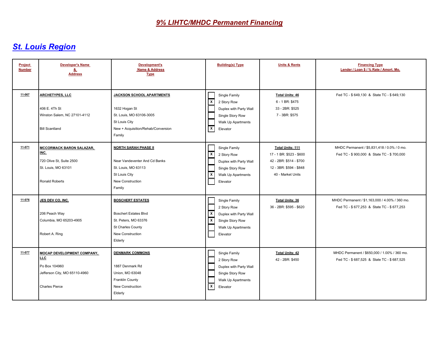| Project<br><b>Number</b> | <b>Developer's Name</b><br>8.<br><b>Address</b>                                                                     | Development's<br><b>Name &amp; Address</b><br><b>Type</b>                                                                                      | <b>Building(s) Type</b>                                                                                                                                              | <b>Units &amp; Rents</b>                                                                                                | <b>Financing Type</b><br>Lender / Loan \$ / % Rate / Amort. Mo.                             |
|--------------------------|---------------------------------------------------------------------------------------------------------------------|------------------------------------------------------------------------------------------------------------------------------------------------|----------------------------------------------------------------------------------------------------------------------------------------------------------------------|-------------------------------------------------------------------------------------------------------------------------|---------------------------------------------------------------------------------------------|
| 11-067                   | <b>ARCHETYPES, LLC</b><br>406 E. 4Th St<br>Winston Salem, NC 27101-4112<br><b>Bill Scantland</b>                    | <b>JACKSON SCHOOL APARTMENTS</b><br>1632 Hogan St<br>St. Louis, MO 63106-3005<br>St Louis City<br>New + Acquisition/Rehab/Conversion<br>Family | Single Family<br>$\boldsymbol{\mathsf{x}}$<br>2 Story Row<br>Duplex with Party Wall<br>Single Story Row<br>Walk Up Apartments<br>$\overline{\mathbf{x}}$<br>Elevator | <b>Total Units: 46</b><br>6 - 1 BR: \$475<br>33 - 2BR: \$525<br>7 - 3BR: \$575                                          | Fed TC - \$649,130 & State TC - \$649,130                                                   |
| 11-071                   | <b>MCCORMACK BARON SALAZAR,</b><br>INC.<br>720 Olive St, Suite 2500<br>St. Louis, MO 63101<br>Ronald Roberts        | <b>NORTH SARAH PHASE II</b><br>Near Vandeventer And Cd Banks<br>St. Louis, MO 63113<br>St Louis City<br>New Construction<br>Family             | Single Family<br>$\overline{x}$<br>2 Story Row<br>Duplex with Party Wall<br>Single Story Row<br>$\overline{\mathbf{x}}$<br>Walk Up Apartments<br>Elevator            | Total Units: 111<br>17 - 1 BR: \$523 - \$600<br>42 - 2BR: \$514 - \$700<br>12 - 3BR: \$594 - \$848<br>40 - Market Units | MHDC Permanent / \$5,831,418 / 0.0% / 0 mo.<br>Fed TC - \$900,000 & State TC - \$700,000    |
| 11-076                   | JES DEV CO, INC.<br>206 Peach Way<br>Columbia, MO 65203-4905<br>Robert A. Ring                                      | <b>BOSCHERT ESTATES</b><br><b>Boschert Estates Blvd</b><br>St. Peters. MO 63376<br>St Charles County<br>New Construction<br>Elderly            | Single Family<br>2 Story Row<br>$\overline{\mathbf{x}}$<br>Duplex with Party Wall<br>$\overline{\mathbf{x}}$<br>Single Story Row<br>Walk Up Apartments<br>Elevator   | <b>Total Units: 36</b><br>36 - 2BR: \$595 - \$620                                                                       | MHDC Permanent / \$1,163,000 / 4.00% / 360 mo.<br>Fed TC - \$677,253 & State TC - \$677,253 |
| 11-077                   | <b>MOCAP DEVELOPMENT COMPANY,</b><br>LLC<br>Po Box 104960<br>Jefferson City, MO 65110-4960<br><b>Charles Pierce</b> | <b>DENMARK COMMONS</b><br>1887 Denmark Rd<br>Union, MO 63048<br><b>Franklin County</b><br>New Construction<br>Elderly                          | Single Family<br>2 Story Row<br>Duplex with Party Wall<br>Single Story Row<br>Walk Up Apartments<br>$\pmb{\mathsf{x}}$<br>Elevator                                   | <b>Total Units: 42</b><br>42 - 2BR: \$450                                                                               | MHDC Permanent / \$650,000 / 1.00% / 360 mo.<br>Fed TC - \$687,525 & State TC - \$687,525   |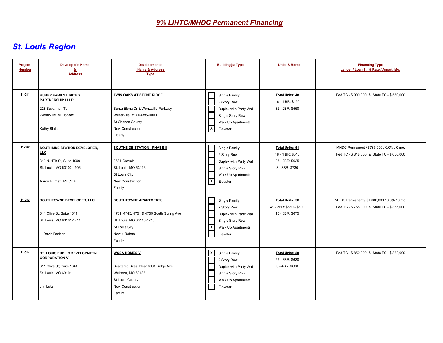| <b>Project</b><br><b>Number</b> | <b>Developer's Name</b><br>&<br><b>Address</b>                                                                                     | <b>Development's</b><br>Name & Address<br><b>Type</b>                                                                                            | <b>Building(s) Type</b>                                                                                                                 | <b>Units &amp; Rents</b>                                                 | <b>Financing Type</b><br>Lender / Loan \$ / % Rate / Amort. Mo.                          |
|---------------------------------|------------------------------------------------------------------------------------------------------------------------------------|--------------------------------------------------------------------------------------------------------------------------------------------------|-----------------------------------------------------------------------------------------------------------------------------------------|--------------------------------------------------------------------------|------------------------------------------------------------------------------------------|
| 11-081                          | HUBER FAMILY LIMITED<br><b>PARTNERSHIP LLLP</b><br>228 Savannah Terr<br>Wentzville, MO 63385<br>Kathy Blattel                      | TWIN OAKS AT STONE RIDGE<br>Santa Elena Dr & Wentzville Parkway<br>Wentzville, MO 63385-0000<br>St Charles County<br>New Construction<br>Elderly | Single Family<br>2 Story Row<br>Duplex with Party Wall<br>Single Story Row<br>Walk Up Apartments<br>$\overline{\mathbf{x}}$<br>Elevator | <b>Total Units: 48</b><br>16 - 1 BR: \$499<br>32 - 2BR: \$550            | Fed TC - \$900,000 & State TC - \$550,000                                                |
| 11-082                          | <b>SOUTHSIDE STATION DEVELOPER.</b><br><b>LLC</b><br>319 N. 4Th St, Suite 1000<br>St. Louis, MO 63102-1906<br>Aaron Burnett, RHCDA | <b>SOUTHSIDE STATION - PHASE II</b><br>3634 Gravois<br>St. Louis, MO 63116<br>St Louis City<br>New Construction<br>Family                        | Single Family<br>2 Story Row<br>Duplex with Party Wall<br>Single Story Row<br>Walk Up Apartments<br>$\overline{\mathbf{x}}$<br>Elevator | Total Units: 51<br>18 - 1 BR: \$510<br>25 - 2BR: \$625<br>8 - 3BR: \$730 | MHDC Permanent / \$785,000 / 0.0% / 0 mo.<br>Fed TC - \$818,500 & State TC - \$650,000   |
| 11-083                          | SOUTHTOWNE DEVELOPER, LLC<br>611 Olive St, Suite 1641<br>St. Louis, MO 63101-1711<br>J. David Dodson                               | SOUTHTOWNE APARTMENTS<br>4701, 4745, 4751 & 4759 South Spring Ave<br>St. Louis, MO 63116-4210<br>St Louis City<br>New + Rehab<br>Family          | Single Family<br>2 Story Row<br>Duplex with Party Wall<br>Single Story Row<br>$\overline{\mathbf{x}}$<br>Walk Up Apartments<br>Elevator | <b>Total Units: 56</b><br>41 - 2BR: \$550 - \$600<br>15 - 3BR: \$675     | MHDC Permanent / \$1,000,000 / 0.0% / 0 mo.<br>Fed TC - \$755,000 & State TC - \$355,000 |
| 11-084                          | ST. LOUIS PUBLIC DEVELOPMETN<br><b>CORPORATION VI</b><br>611 Olive St; Suite 1641<br>St. Louis, MO 63101<br>Jim Lutz               | <b>WCSA HOMES V</b><br>Scattered Sites Near 6301 Ridge Ave<br>Wellston, MO 63133<br>St Louis County<br>New Construction<br>Family                | $\overline{\mathbf{x}}$<br>Single Family<br>2 Story Row<br>Duplex with Party Wall<br>Single Story Row<br>Walk Up Apartments<br>Elevator | <b>Total Units: 28</b><br>25 - 3BR: \$630<br>3 - 4BR: \$660              | Fed TC - \$850,000 & State TC - \$382,000                                                |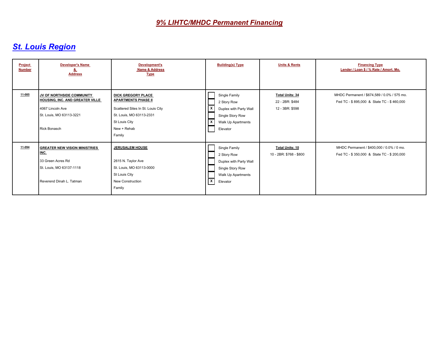| Project<br><b>Number</b> | <b>Developer's Name</b><br>ᆇ.<br><b>Address</b>                                                                                  | <b>Development's</b><br><b>Name &amp; Address</b><br><b>Type</b>                                                                                            | <b>Building(s) Type</b>                                                                                                      | <b>Units &amp; Rents</b>                                     | <b>Financing Type</b><br>Lender / Loan \$ / % Rate / Amort. Mo.                          |
|--------------------------|----------------------------------------------------------------------------------------------------------------------------------|-------------------------------------------------------------------------------------------------------------------------------------------------------------|------------------------------------------------------------------------------------------------------------------------------|--------------------------------------------------------------|------------------------------------------------------------------------------------------|
| 11-085                   | JV OF NORTHSIDE COMMUNITY<br>HOUSING, INC. AND GREATER VILLE<br>4067 Lincoln Ave<br>St. Louis, MO 63113-3221<br>Rick Bonasch     | DICK GREGORY PLACE<br><b>APARTMENTS PHASE II</b><br>Scattered Sites In St. Louis City<br>St. Louis, MO 63113-2331<br>St Louis City<br>New + Rehab<br>Family | Single Family<br>2 Story Row<br>l X<br>Duplex with Party Wall<br>Single Story Row<br>l x<br>Walk Up Apartments<br>Elevator   | <b>Total Units: 34</b><br>22 - 2BR: \$484<br>12 - 3BR: \$598 | MHDC Permanent / \$674,589 / 0.0% / 575 mo.<br>Fed TC - \$895,000 & State TC - \$460,000 |
| 11-094                   | <u><b>GREATER NEW VISION MINISTRIES</b></u><br>INC.<br>33 Green Acres Rd<br>St. Louis, MO 63137-1118<br>Reverend Dinah L. Tatman | <b>JERUSALEM HOUSE</b><br>2615 N. Taylor Ave<br>St. Louis, MO 63113-0000<br>St Louis City<br><b>New Construction</b><br>Family                              | Single Family<br>2 Story Row<br>Duplex with Party Wall<br>Single Story Row<br>Walk Up Apartments<br>$\mathsf{x}$<br>Elevator | <b>Total Units: 10</b><br>10 - 2BR: \$768 - \$800            | MHDC Permanent / \$400,000 / 0.0% / 0 mo.<br>Fed TC - \$350,000 & State TC - \$200,000   |